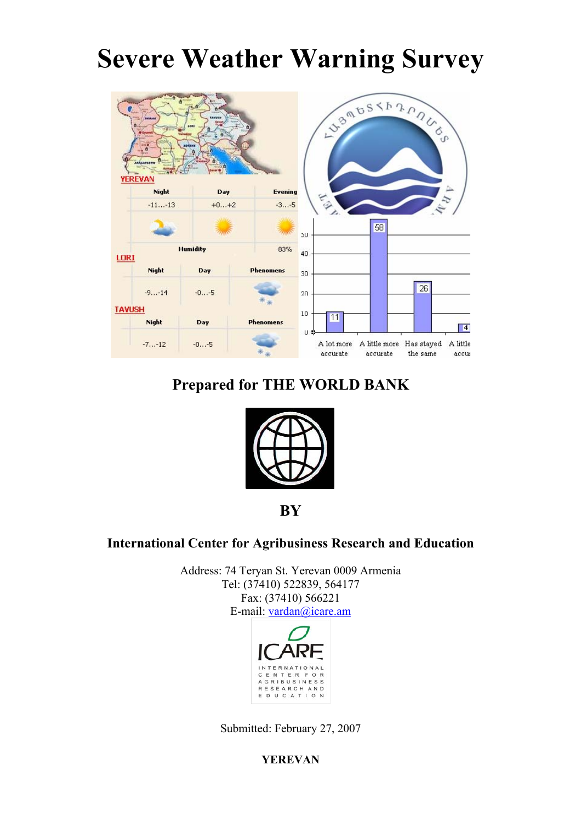# **Severe Weather Warning Survey**



## **Prepared for THE WORLD BANK**



**BY**

## **International Center for Agribusiness Research and Education**

Address: 74 Teryan St. Yerevan 0009 Armenia Tel: (37410) 522839, 564177 Fax: (37410) 566221 E-mail: [vardan@icare.am](mailto:vardan@icare.am)



Submitted: February 27, 2007

**YEREVAN**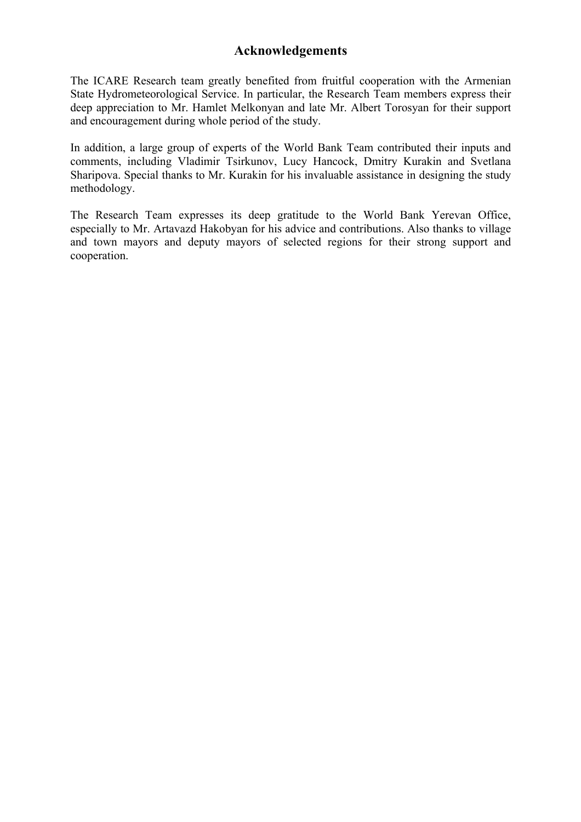## **Acknowledgements**

The ICARE Research team greatly benefited from fruitful cooperation with the Armenian State Hydrometeorological Service. In particular, the Research Team members express their deep appreciation to Mr. Hamlet Melkonyan and late Mr. Albert Torosyan for their support and encouragement during whole period of the study.

In addition, a large group of experts of the World Bank Team contributed their inputs and comments, including Vladimir Tsirkunov, Lucy Hancock, Dmitry Kurakin and Svetlana Sharipova. Special thanks to Mr. Kurakin for his invaluable assistance in designing the study methodology.

The Research Team expresses its deep gratitude to the World Bank Yerevan Office, especially to Mr. Artavazd Hakobyan for his advice and contributions. Also thanks to village and town mayors and deputy mayors of selected regions for their strong support and cooperation.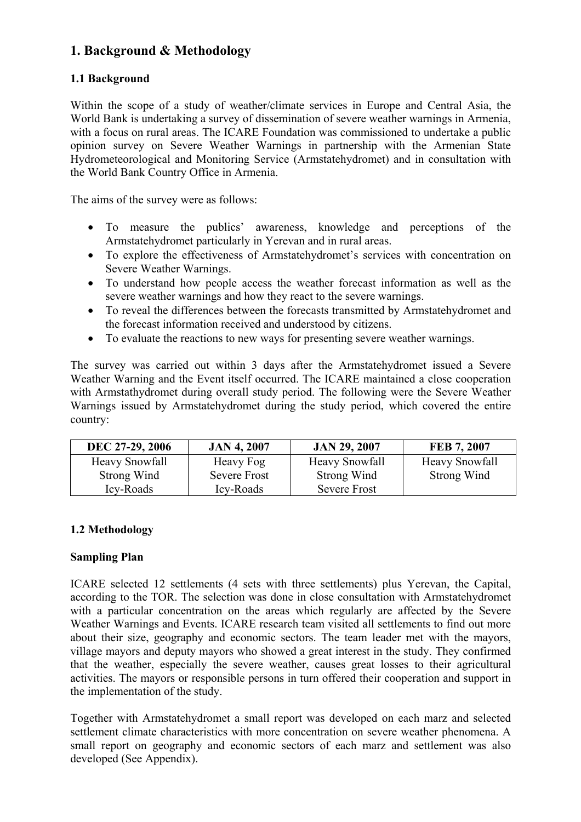## **1. Background & Methodology**

## **1.1 Background**

Within the scope of a study of weather/climate services in Europe and Central Asia, the World Bank is undertaking a survey of dissemination of severe weather warnings in Armenia, with a focus on rural areas. The ICARE Foundation was commissioned to undertake a public opinion survey on Severe Weather Warnings in partnership with the Armenian State Hydrometeorological and Monitoring Service (Armstatehydromet) and in consultation with the World Bank Country Office in Armenia.

The aims of the survey were as follows:

- To measure the publics' awareness, knowledge and perceptions of the Armstatehydromet particularly in Yerevan and in rural areas.
- To explore the effectiveness of Armstatehydromet's services with concentration on Severe Weather Warnings.
- To understand how people access the weather forecast information as well as the severe weather warnings and how they react to the severe warnings.
- To reveal the differences between the forecasts transmitted by Armstatehydromet and the forecast information received and understood by citizens.
- To evaluate the reactions to new ways for presenting severe weather warnings.

The survey was carried out within 3 days after the Armstatehydromet issued a Severe Weather Warning and the Event itself occurred. The ICARE maintained a close cooperation with Armstathydromet during overall study period. The following were the Severe Weather Warnings issued by Armstatehydromet during the study period, which covered the entire country:

| DEC 27-29, 2006       | <b>JAN 4, 2007</b>  | <b>JAN 29, 2007</b>   | FEB 7, 2007           |
|-----------------------|---------------------|-----------------------|-----------------------|
| <b>Heavy Snowfall</b> | Heavy Fog           | <b>Heavy Snowfall</b> | <b>Heavy Snowfall</b> |
| Strong Wind           | <b>Severe Frost</b> | Strong Wind           | Strong Wind           |
| Icy-Roads             | Icy-Roads           | Severe Frost          |                       |

#### **1.2 Methodology**

#### **Sampling Plan**

ICARE selected 12 settlements (4 sets with three settlements) plus Yerevan, the Capital, according to the TOR. The selection was done in close consultation with Armstatehydromet with a particular concentration on the areas which regularly are affected by the Severe Weather Warnings and Events. ICARE research team visited all settlements to find out more about their size, geography and economic sectors. The team leader met with the mayors, village mayors and deputy mayors who showed a great interest in the study. They confirmed that the weather, especially the severe weather, causes great losses to their agricultural activities. The mayors or responsible persons in turn offered their cooperation and support in the implementation of the study.

Together with Armstatehydromet a small report was developed on each marz and selected settlement climate characteristics with more concentration on severe weather phenomena. A small report on geography and economic sectors of each marz and settlement was also developed (See Appendix).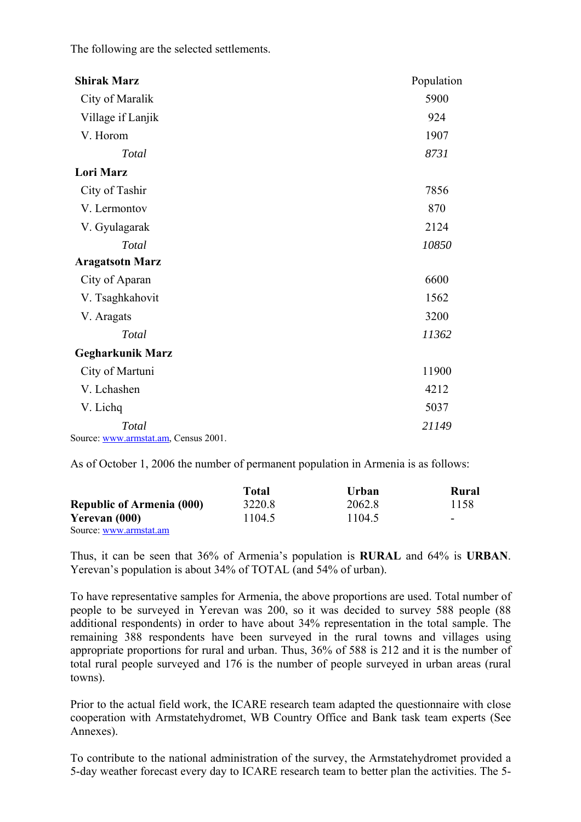The following are the selected settlements.

| <b>Shirak Marz</b>                   | Population |
|--------------------------------------|------------|
| City of Maralik                      | 5900       |
| Village if Lanjik                    | 924        |
| V. Horom                             | 1907       |
| Total                                | 8731       |
| <b>Lori Marz</b>                     |            |
| City of Tashir                       | 7856       |
| V. Lermontov                         | 870        |
| V. Gyulagarak                        | 2124       |
| Total                                | 10850      |
| <b>Aragatsotn Marz</b>               |            |
| City of Aparan                       | 6600       |
| V. Tsaghkahovit                      | 1562       |
| V. Aragats                           | 3200       |
| Total                                | 11362      |
| <b>Gegharkunik Marz</b>              |            |
| City of Martuni                      | 11900      |
| V. Lchashen                          | 4212       |
| V. Lichq                             | 5037       |
| Total                                | 21149      |
| Source: www.armstat.am, Census 2001. |            |

As of October 1, 2006 the number of permanent population in Armenia is as follows:

|                                  | Total  | Urban  | Rural |
|----------------------------------|--------|--------|-------|
| <b>Republic of Armenia (000)</b> | 3220.8 | 2062.8 | 1158  |
| Yerevan (000)                    | 1104.5 | 1104.5 | -     |
| Source: www.armstat.am           |        |        |       |

Thus, it can be seen that 36% of Armenia's population is **RURAL** and 64% is **URBAN**. Yerevan's population is about 34% of TOTAL (and 54% of urban).

To have representative samples for Armenia, the above proportions are used. Total number of people to be surveyed in Yerevan was 200, so it was decided to survey 588 people (88 additional respondents) in order to have about 34% representation in the total sample. The remaining 388 respondents have been surveyed in the rural towns and villages using appropriate proportions for rural and urban. Thus, 36% of 588 is 212 and it is the number of total rural people surveyed and 176 is the number of people surveyed in urban areas (rural towns).

Prior to the actual field work, the ICARE research team adapted the questionnaire with close cooperation with Armstatehydromet, WB Country Office and Bank task team experts (See Annexes).

To contribute to the national administration of the survey, the Armstatehydromet provided a 5-day weather forecast every day to ICARE research team to better plan the activities. The 5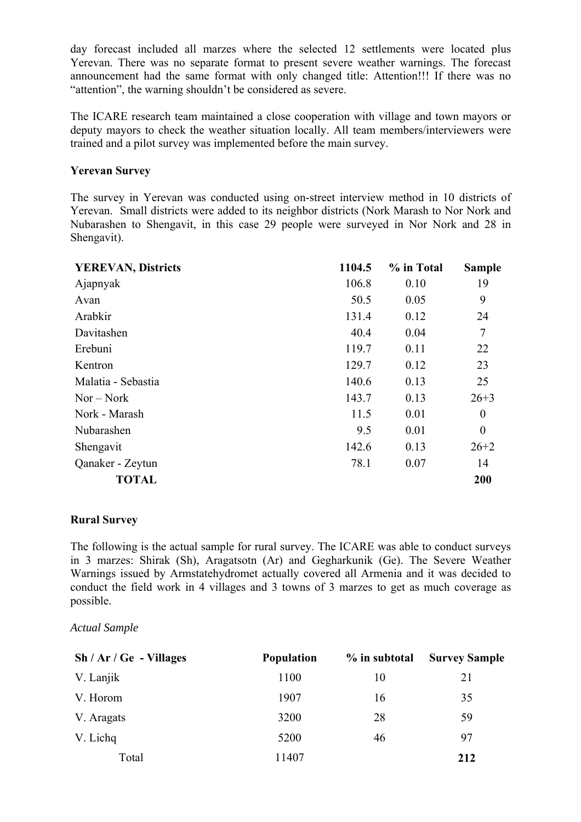day forecast included all marzes where the selected 12 settlements were located plus Yerevan. There was no separate format to present severe weather warnings. The forecast announcement had the same format with only changed title: Attention!!! If there was no "attention", the warning shouldn't be considered as severe.

The ICARE research team maintained a close cooperation with village and town mayors or deputy mayors to check the weather situation locally. All team members/interviewers were trained and a pilot survey was implemented before the main survey.

#### **Yerevan Survey**

The survey in Yerevan was conducted using on-street interview method in 10 districts of Yerevan. Small districts were added to its neighbor districts (Nork Marash to Nor Nork and Nubarashen to Shengavit, in this case 29 people were surveyed in Nor Nork and 28 in Shengavit).

| <b>YEREVAN, Districts</b> | 1104.5 | % in Total | <b>Sample</b> |
|---------------------------|--------|------------|---------------|
| Ajapnyak                  | 106.8  | 0.10       | 19            |
| Avan                      | 50.5   | 0.05       | 9             |
| Arabkir                   | 131.4  | 0.12       | 24            |
| Davitashen                | 40.4   | 0.04       | 7             |
| Erebuni                   | 119.7  | 0.11       | 22            |
| Kentron                   | 129.7  | 0.12       | 23            |
| Malatia - Sebastia        | 140.6  | 0.13       | 25            |
| $Nor - Nork$              | 143.7  | 0.13       | $26 + 3$      |
| Nork - Marash             | 11.5   | 0.01       | $\theta$      |
| Nubarashen                | 9.5    | 0.01       | $\theta$      |
| Shengavit                 | 142.6  | 0.13       | $26 + 2$      |
| Qanaker - Zeytun          | 78.1   | 0.07       | 14            |
| <b>TOTAL</b>              |        |            | 200           |

#### **Rural Survey**

The following is the actual sample for rural survey. The ICARE was able to conduct surveys in 3 marzes: Shirak (Sh), Aragatsotn (Ar) and Gegharkunik (Ge). The Severe Weather Warnings issued by Armstatehydromet actually covered all Armenia and it was decided to conduct the field work in 4 villages and 3 towns of 3 marzes to get as much coverage as possible.

*Actual Sample* 

| $\text{Sh}/\text{Ar}/\text{Ge}$ - Villages | <b>Population</b> | $\%$ in subtotal | <b>Survey Sample</b> |
|--------------------------------------------|-------------------|------------------|----------------------|
| V. Lanjik                                  | 1100              | 10               | 21                   |
| V. Horom                                   | 1907              | 16               | 35                   |
| V. Aragats                                 | 3200              | 28               | 59                   |
| V. Lichq                                   | 5200              | 46               | 97                   |
| Total                                      | 11407             |                  | 212                  |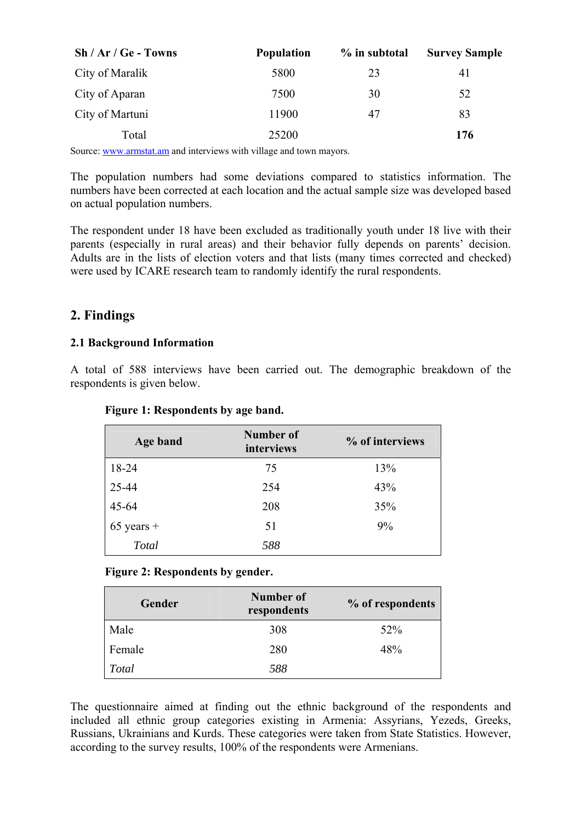| $\mathbf{Sh}/\mathbf{Ar}/\mathbf{Ge}$ - Towns | <b>Population</b> | % in subtotal | <b>Survey Sample</b> |
|-----------------------------------------------|-------------------|---------------|----------------------|
| City of Maralik                               | 5800              | 23            | 41                   |
| City of Aparan                                | 7500              | 30            | 52                   |
| City of Martuni                               | 11900             | 47            | 83                   |
| Total                                         | 25200             |               | 176                  |

Source: [www.armstat.am](http://www.armstat.am/) and interviews with village and town mayors.

The population numbers had some deviations compared to statistics information. The numbers have been corrected at each location and the actual sample size was developed based on actual population numbers.

The respondent under 18 have been excluded as traditionally youth under 18 live with their parents (especially in rural areas) and their behavior fully depends on parents' decision. Adults are in the lists of election voters and that lists (many times corrected and checked) were used by ICARE research team to randomly identify the rural respondents.

## **2. Findings**

#### **2.1 Background Information**

A total of 588 interviews have been carried out. The demographic breakdown of the respondents is given below.

| Age band     | Number of<br>interviews | % of interviews |
|--------------|-------------------------|-----------------|
| 18-24        | 75                      | 13%             |
| 25-44        | 254                     | 43%             |
| $45 - 64$    | 208                     | 35%             |
| $65$ years + | 51                      | 9%              |
| Total        | 588                     |                 |

#### **Figure 1: Respondents by age band.**

#### **Figure 2: Respondents by gender.**

| Gender | <b>Number of</b><br>respondents | % of respondents |
|--------|---------------------------------|------------------|
| Male   | 308                             | 52%              |
| Female | 280                             | 48%              |
| Total  | 588                             |                  |

The questionnaire aimed at finding out the ethnic background of the respondents and included all ethnic group categories existing in Armenia: Assyrians, Yezeds, Greeks, Russians, Ukrainians and Kurds. These categories were taken from State Statistics. However, according to the survey results, 100% of the respondents were Armenians.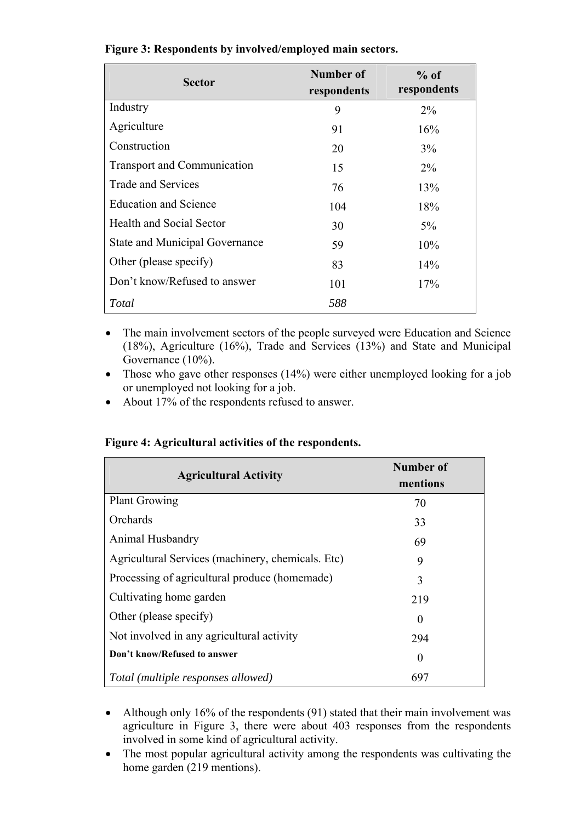| <b>Sector</b>                      | Number of<br>respondents | $%$ of<br>respondents |
|------------------------------------|--------------------------|-----------------------|
| Industry                           | 9                        | $2\%$                 |
| Agriculture                        | 91                       | 16%                   |
| Construction                       | 20                       | $3\%$                 |
| <b>Transport and Communication</b> | 15                       | $2\%$                 |
| Trade and Services                 | 76                       | 13%                   |
| <b>Education and Science</b>       | 104                      | 18%                   |
| <b>Health and Social Sector</b>    | 30                       | $5\%$                 |
| State and Municipal Governance     | 59                       | 10%                   |
| Other (please specify)             | 83                       | $14\%$                |
| Don't know/Refused to answer       | 101                      | 17%                   |
| Total                              | 588                      |                       |

#### **Figure 3: Respondents by involved/employed main sectors.**

- The main involvement sectors of the people surveyed were Education and Science (18%), Agriculture (16%), Trade and Services (13%) and State and Municipal Governance (10%).
- Those who gave other responses (14%) were either unemployed looking for a job or unemployed not looking for a job.
- About 17% of the respondents refused to answer.

#### **Figure 4: Agricultural activities of the respondents.**

| <b>Agricultural Activity</b>                      | Number of<br>mentions |
|---------------------------------------------------|-----------------------|
| <b>Plant Growing</b>                              | 70                    |
| Orchards                                          | 33                    |
| Animal Husbandry                                  | 69                    |
| Agricultural Services (machinery, chemicals. Etc) | 9                     |
| Processing of agricultural produce (homemade)     | 3                     |
| Cultivating home garden                           | 219                   |
| Other (please specify)                            | $\theta$              |
| Not involved in any agricultural activity         | 294                   |
| Don't know/Refused to answer                      | $\theta$              |
| Total (multiple responses allowed)                | 697                   |

- Although only 16% of the respondents (91) stated that their main involvement was agriculture in Figure 3, there were about 403 responses from the respondents involved in some kind of agricultural activity.
- The most popular agricultural activity among the respondents was cultivating the home garden (219 mentions).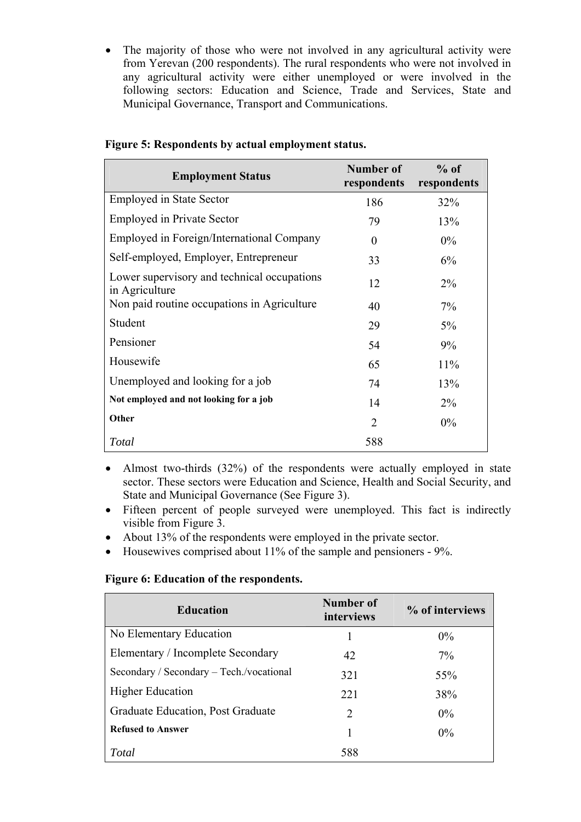• The majority of those who were not involved in any agricultural activity were from Yerevan (200 respondents). The rural respondents who were not involved in any agricultural activity were either unemployed or were involved in the following sectors: Education and Science, Trade and Services, State and Municipal Governance, Transport and Communications.

| <b>Employment Status</b>                                      | Number of<br>respondents | $%$ of<br>respondents |
|---------------------------------------------------------------|--------------------------|-----------------------|
| <b>Employed in State Sector</b>                               | 186                      | 32%                   |
| <b>Employed in Private Sector</b>                             | 79                       | 13%                   |
| Employed in Foreign/International Company                     | $\Omega$                 | $0\%$                 |
| Self-employed, Employer, Entrepreneur                         | 33                       | 6%                    |
| Lower supervisory and technical occupations<br>in Agriculture | 12                       | $2\%$                 |
| Non paid routine occupations in Agriculture                   | 40                       | $7\%$                 |
| Student                                                       | 29                       | $5\%$                 |
| Pensioner                                                     | 54                       | 9%                    |
| Housewife                                                     | 65                       | 11%                   |
| Unemployed and looking for a job                              | 74                       | 13%                   |
| Not employed and not looking for a job                        | 14                       | $2\%$                 |
| Other                                                         | 2                        | $0\%$                 |
| Total                                                         | 588                      |                       |

#### **Figure 5: Respondents by actual employment status.**

• Almost two-thirds (32%) of the respondents were actually employed in state sector. These sectors were Education and Science, Health and Social Security, and State and Municipal Governance (See Figure 3).

- Fifteen percent of people surveyed were unemployed. This fact is indirectly visible from Figure 3.
- About 13% of the respondents were employed in the private sector.
- Housewives comprised about 11% of the sample and pensioners 9%.

#### **Figure 6: Education of the respondents.**

| <b>Education</b>                         | Number of<br>interviews | % of interviews |
|------------------------------------------|-------------------------|-----------------|
| No Elementary Education                  |                         | $0\%$           |
| Elementary / Incomplete Secondary        | 42                      | $7\%$           |
| Secondary / Secondary – Tech./vocational | 321                     | 55%             |
| <b>Higher Education</b>                  | 22.1                    | 38%             |
| Graduate Education, Post Graduate        | 2                       | $0\%$           |
| <b>Refused to Answer</b>                 |                         | $0\%$           |
| Total                                    | 588                     |                 |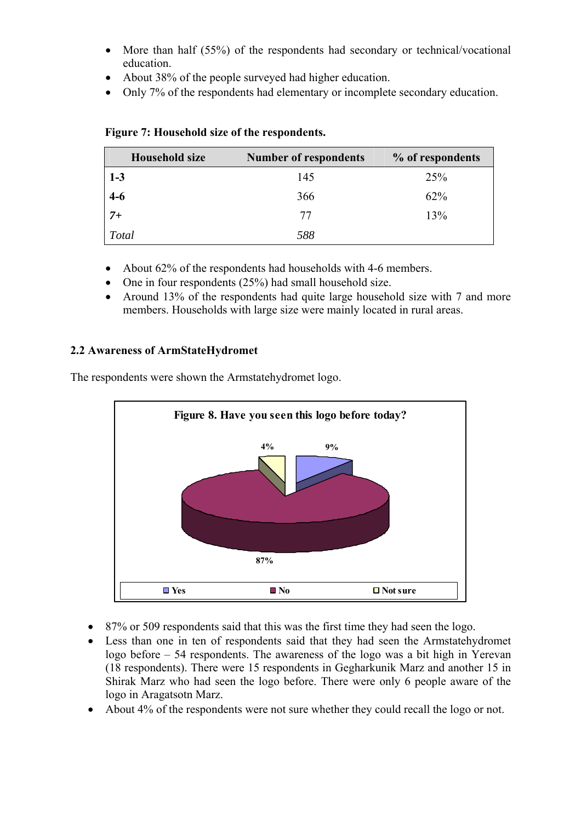- More than half (55%) of the respondents had secondary or technical/vocational education.
- About 38% of the people surveyed had higher education.
- Only 7% of the respondents had elementary or incomplete secondary education.

| <b>Household size</b> | <b>Number of respondents</b> | % of respondents |
|-----------------------|------------------------------|------------------|
| $1 - 3$               | 145                          | 25%              |
| $4 - 6$               | 366                          | 62%              |
| $7+$                  | 77                           | 13%              |
| <b>Total</b>          | 588                          |                  |

#### **Figure 7: Household size of the respondents.**

- About 62% of the respondents had households with 4-6 members.
- One in four respondents (25%) had small household size.
- Around 13% of the respondents had quite large household size with 7 and more members. Households with large size were mainly located in rural areas.

#### **2.2 Awareness of ArmStateHydromet**

The respondents were shown the Armstatehydromet logo.



- 87% or 509 respondents said that this was the first time they had seen the logo.
- Less than one in ten of respondents said that they had seen the Armstatehydromet logo before – 54 respondents. The awareness of the logo was a bit high in Yerevan (18 respondents). There were 15 respondents in Gegharkunik Marz and another 15 in Shirak Marz who had seen the logo before. There were only 6 people aware of the logo in Aragatsotn Marz.
- About 4% of the respondents were not sure whether they could recall the logo or not.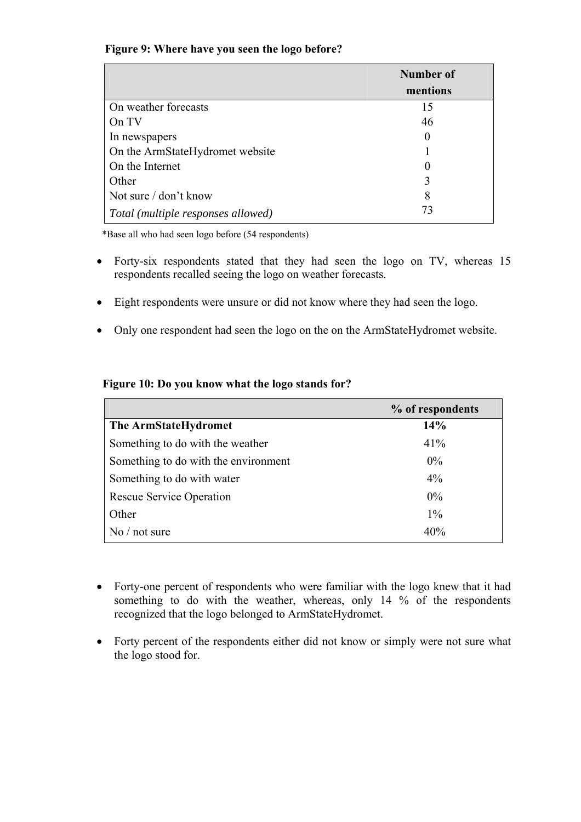#### **Figure 9: Where have you seen the logo before?**

|                                    | Number of |
|------------------------------------|-----------|
|                                    | mentions  |
| On weather forecasts               | 15        |
| On TV                              | 46        |
| In newspapers                      | $\theta$  |
| On the ArmStateHydromet website    |           |
| On the Internet                    |           |
| Other                              | 3         |
| Not sure / don't know              | 8         |
| Total (multiple responses allowed) | 73        |

\*Base all who had seen logo before (54 respondents)

- Forty-six respondents stated that they had seen the logo on TV, whereas 15 respondents recalled seeing the logo on weather forecasts.
- Eight respondents were unsure or did not know where they had seen the logo.
- Only one respondent had seen the logo on the on the ArmStateHydromet website.

| Figure 10: Do you know what the logo stands for? |  |  |  |
|--------------------------------------------------|--|--|--|
|                                                  |  |  |  |

|                                      | % of respondents |
|--------------------------------------|------------------|
| The ArmStateHydromet                 | 14%              |
| Something to do with the weather     | 41%              |
| Something to do with the environment | $0\%$            |
| Something to do with water           | 4%               |
| <b>Rescue Service Operation</b>      | $0\%$            |
| Other                                | $1\%$            |
| $\mathrm{No}$ / not sure             | 40%              |

- Forty-one percent of respondents who were familiar with the logo knew that it had something to do with the weather, whereas, only 14 % of the respondents recognized that the logo belonged to ArmStateHydromet.
- Forty percent of the respondents either did not know or simply were not sure what the logo stood for.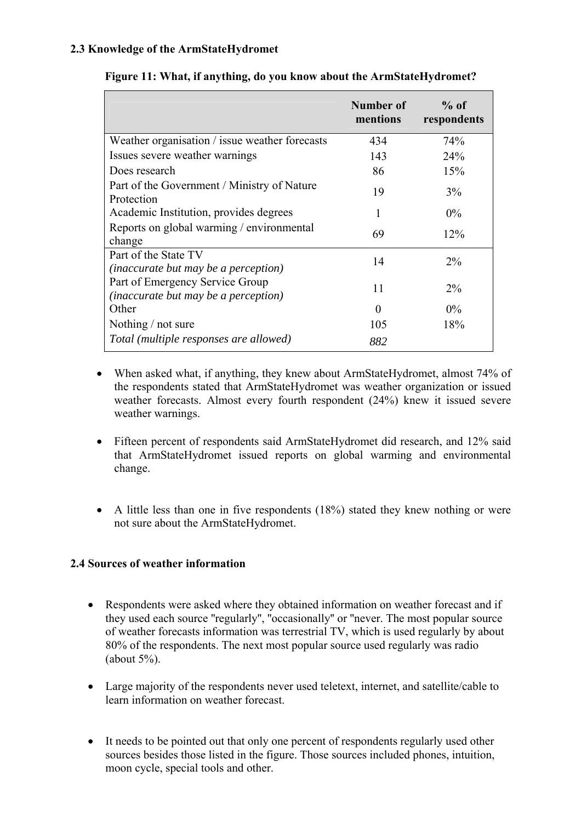#### **2.3 Knowledge of the ArmStateHydromet**

|                                                                                | Number of<br>mentions | $%$ of<br>respondents |
|--------------------------------------------------------------------------------|-----------------------|-----------------------|
| Weather organisation / issue weather forecasts                                 | 434                   | 74%                   |
| Issues severe weather warnings                                                 | 143                   | 24%                   |
| Does research                                                                  | 86                    | 15%                   |
| Part of the Government / Ministry of Nature<br>Protection                      | 19                    | 3%                    |
| Academic Institution, provides degrees                                         | 1                     | $0\%$                 |
| Reports on global warming / environmental<br>change                            | 69                    | 12%                   |
| Part of the State TV<br><i>(inaccurate but may be a perception)</i>            | 14                    | $2\%$                 |
| Part of Emergency Service Group<br><i>(inaccurate but may be a perception)</i> | 11                    | $2\%$                 |
| Other                                                                          | 0                     | $0\%$                 |
| Nothing / not sure                                                             | 105                   | 18%                   |
| Total (multiple responses are allowed)                                         | 882                   |                       |

#### **Figure 11: What, if anything, do you know about the ArmStateHydromet?**

- When asked what, if anything, they knew about ArmStateHydromet, almost 74% of the respondents stated that ArmStateHydromet was weather organization or issued weather forecasts. Almost every fourth respondent (24%) knew it issued severe weather warnings.
- Fifteen percent of respondents said ArmStateHydromet did research, and 12% said that ArmStateHydromet issued reports on global warming and environmental change.
- A little less than one in five respondents (18%) stated they knew nothing or were not sure about the ArmStateHydromet.

#### **2.4 Sources of weather information**

- Respondents were asked where they obtained information on weather forecast and if they used each source ''regularly'', ''occasionally'' or ''never. The most popular source of weather forecasts information was terrestrial TV, which is used regularly by about 80% of the respondents. The next most popular source used regularly was radio (about  $5\%$ ).
- Large majority of the respondents never used teletext, internet, and satellite/cable to learn information on weather forecast.
- It needs to be pointed out that only one percent of respondents regularly used other sources besides those listed in the figure. Those sources included phones, intuition, moon cycle, special tools and other.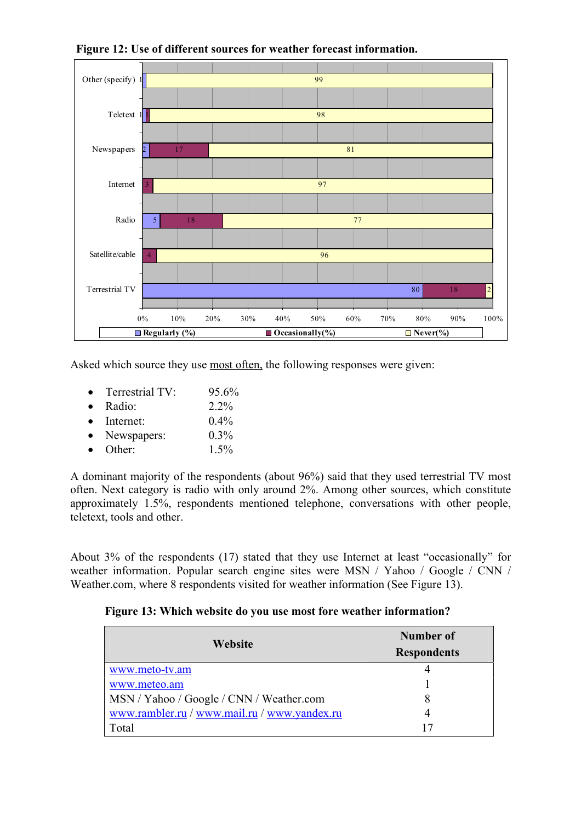

 **Figure 12: Use of different sources for weather forecast information.** 

Asked which source they use most often, the following responses were given:

- Terrestrial TV:  $95.6\%$
- Radio: 2.2%
- Internet:  $0.4\%$
- Newspapers:  $0.3\%$
- Other:  $1.5\%$

A dominant majority of the respondents (about 96%) said that they used terrestrial TV most often. Next category is radio with only around 2%. Among other sources, which constitute approximately 1.5%, respondents mentioned telephone, conversations with other people, teletext, tools and other.

About 3% of the respondents (17) stated that they use Internet at least "occasionally" for weather information. Popular search engine sites were MSN / Yahoo / Google / CNN / Weather.com, where 8 respondents visited for weather information (See Figure 13).

#### **Figure 13: Which website do you use most fore weather information?**

| Website                                      | Number of          |  |  |
|----------------------------------------------|--------------------|--|--|
|                                              | <b>Respondents</b> |  |  |
| www.meto-tv.am                               |                    |  |  |
| www.meteo.am                                 |                    |  |  |
| MSN / Yahoo / Google / CNN / Weather.com     | 8                  |  |  |
| www.rambler.ru / www.mail.ru / www.yandex.ru |                    |  |  |
| Total                                        | 17                 |  |  |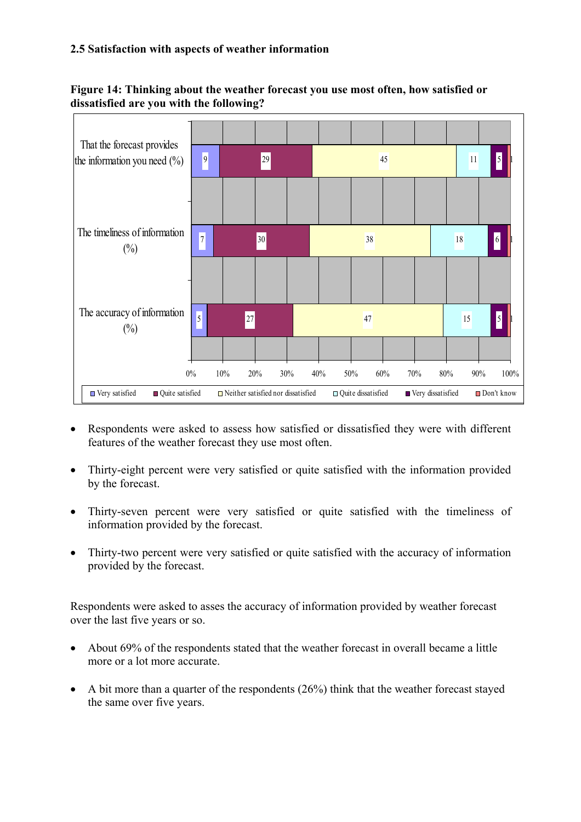#### **2.5 Satisfaction with aspects of weather information**





- Respondents were asked to assess how satisfied or dissatisfied they were with different features of the weather forecast they use most often.
- Thirty-eight percent were very satisfied or quite satisfied with the information provided by the forecast.
- Thirty-seven percent were very satisfied or quite satisfied with the timeliness of information provided by the forecast.
- Thirty-two percent were very satisfied or quite satisfied with the accuracy of information provided by the forecast.

Respondents were asked to asses the accuracy of information provided by weather forecast over the last five years or so.

- About 69% of the respondents stated that the weather forecast in overall became a little more or a lot more accurate.
- A bit more than a quarter of the respondents (26%) think that the weather forecast stayed the same over five years.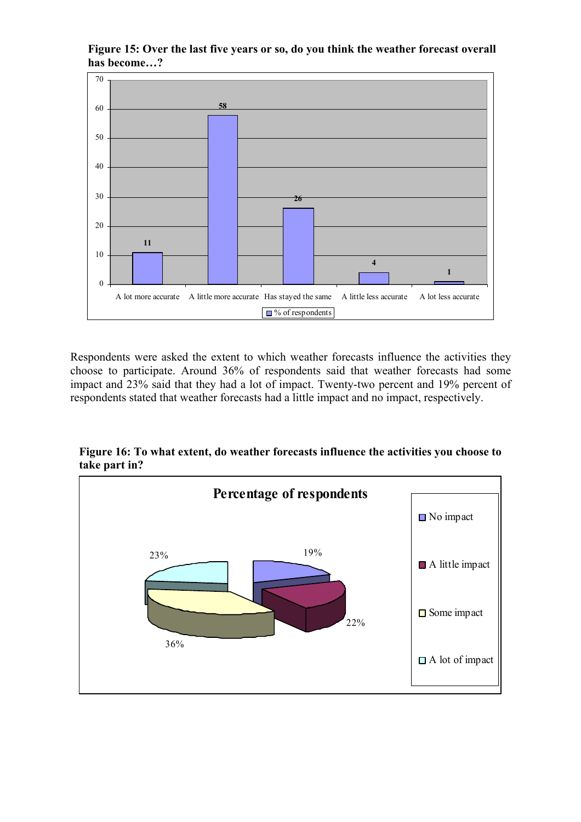#### **Figure 15: Over the last five years or so, do you think the weather forecast overall has become…?**



Respondents were asked the extent to which weather forecasts influence the activities they choose to participate. Around 36% of respondents said that weather forecasts had some impact and 23% said that they had a lot of impact. Twenty-two percent and 19% percent of respondents stated that weather forecasts had a little impact and no impact, respectively.



**Figure 16: To what extent, do weather forecasts influence the activities you choose to take part in?**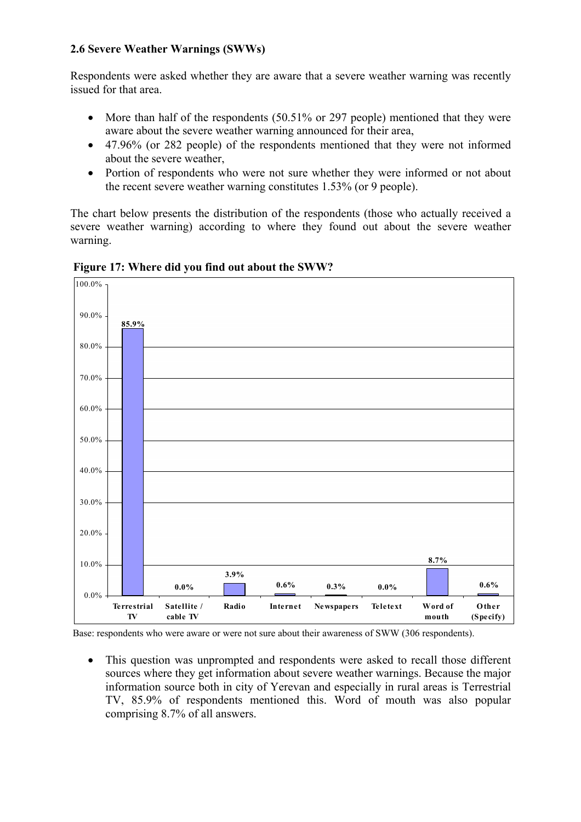#### **2.6 Severe Weather Warnings (SWWs)**

Respondents were asked whether they are aware that a severe weather warning was recently issued for that area.

- More than half of the respondents (50.51% or 297 people) mentioned that they were aware about the severe weather warning announced for their area,
- 47.96% (or 282 people) of the respondents mentioned that they were not informed about the severe weather,
- Portion of respondents who were not sure whether they were informed or not about the recent severe weather warning constitutes 1.53% (or 9 people).

The chart below presents the distribution of the respondents (those who actually received a severe weather warning) according to where they found out about the severe weather warning.



 **Figure 17: Where did you find out about the SWW?** 

Base: respondents who were aware or were not sure about their awareness of SWW (306 respondents).

• This question was unprompted and respondents were asked to recall those different sources where they get information about severe weather warnings. Because the major information source both in city of Yerevan and especially in rural areas is Terrestrial TV, 85.9% of respondents mentioned this. Word of mouth was also popular comprising 8.7% of all answers.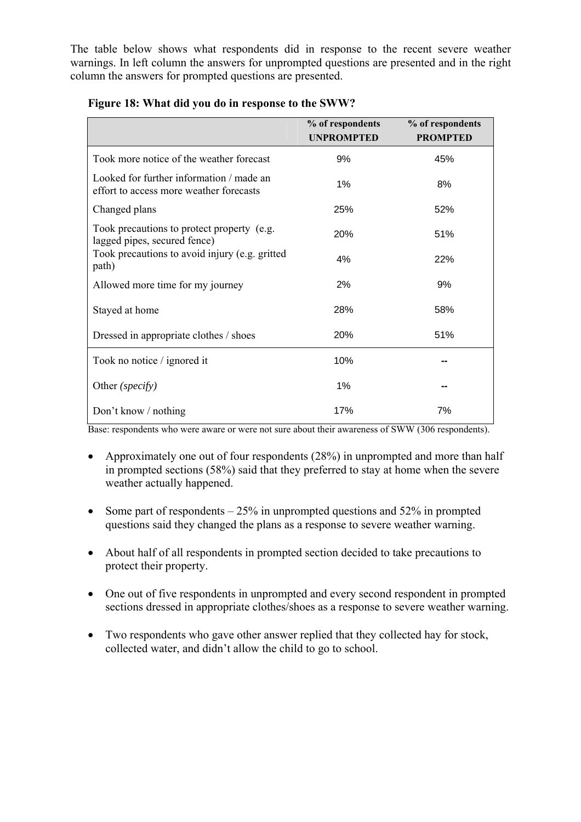The table below shows what respondents did in response to the recent severe weather warnings. In left column the answers for unprompted questions are presented and in the right column the answers for prompted questions are presented.

|                                                                                     | % of respondents<br><b>UNPROMPTED</b> | % of respondents<br><b>PROMPTED</b> |
|-------------------------------------------------------------------------------------|---------------------------------------|-------------------------------------|
| Took more notice of the weather forecast                                            | 9%                                    | 45%                                 |
| Looked for further information / made an<br>effort to access more weather forecasts | 1%                                    | 8%                                  |
| Changed plans                                                                       | 25%                                   | 52%                                 |
| Took precautions to protect property (e.g.<br>lagged pipes, secured fence)          | 20%                                   | 51%                                 |
| Took precautions to avoid injury (e.g. gritted<br>path)                             | 4%                                    | 22%                                 |
| Allowed more time for my journey                                                    | 2%                                    | 9%                                  |
| Stayed at home                                                                      | 28%                                   | 58%                                 |
| Dressed in appropriate clothes / shoes                                              | 20%                                   | 51%                                 |
| Took no notice / ignored it                                                         | 10%                                   |                                     |
| Other (specify)                                                                     | 1%                                    |                                     |
| Don't know / nothing                                                                | 17%                                   | 7%                                  |

#### **Figure 18: What did you do in response to the SWW?**

Base: respondents who were aware or were not sure about their awareness of SWW (306 respondents).

- Approximately one out of four respondents (28%) in unprompted and more than half in prompted sections (58%) said that they preferred to stay at home when the severe weather actually happened.
- Some part of respondents  $-25\%$  in unprompted questions and 52% in prompted questions said they changed the plans as a response to severe weather warning.
- About half of all respondents in prompted section decided to take precautions to protect their property.
- One out of five respondents in unprompted and every second respondent in prompted sections dressed in appropriate clothes/shoes as a response to severe weather warning.
- Two respondents who gave other answer replied that they collected hay for stock, collected water, and didn't allow the child to go to school.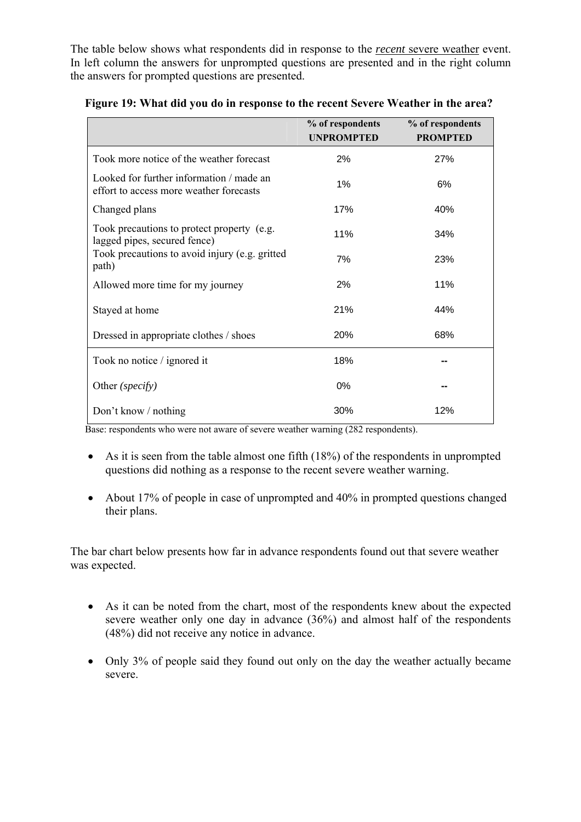The table below shows what respondents did in response to the *recent* severe weather event. In left column the answers for unprompted questions are presented and in the right column the answers for prompted questions are presented.

|                                                                                     | % of respondents<br><b>UNPROMPTED</b> | % of respondents<br><b>PROMPTED</b> |
|-------------------------------------------------------------------------------------|---------------------------------------|-------------------------------------|
| Took more notice of the weather forecast                                            | 2%                                    | 27%                                 |
| Looked for further information / made an<br>effort to access more weather forecasts | 1%                                    | 6%                                  |
| Changed plans                                                                       | 17%                                   | 40%                                 |
| Took precautions to protect property (e.g.<br>lagged pipes, secured fence)          | 11%                                   | 34%                                 |
| Took precautions to avoid injury (e.g. gritted<br>path)                             | 7%                                    | 23%                                 |
| Allowed more time for my journey                                                    | 2%                                    | 11%                                 |
| Stayed at home                                                                      | 21%                                   | 44%                                 |
| Dressed in appropriate clothes / shoes                                              | 20%                                   | 68%                                 |
| Took no notice / ignored it                                                         | 18%                                   |                                     |
| Other (specify)                                                                     | 0%                                    |                                     |
| Don't know / nothing                                                                | 30%                                   | 12%                                 |

 **Figure 19: What did you do in response to the recent Severe Weather in the area?**

Base: respondents who were not aware of severe weather warning (282 respondents).

- As it is seen from the table almost one fifth (18%) of the respondents in unprompted questions did nothing as a response to the recent severe weather warning.
- About 17% of people in case of unprompted and 40% in prompted questions changed their plans.

The bar chart below presents how far in advance respondents found out that severe weather was expected.

- As it can be noted from the chart, most of the respondents knew about the expected severe weather only one day in advance (36%) and almost half of the respondents (48%) did not receive any notice in advance.
- Only 3% of people said they found out only on the day the weather actually became severe.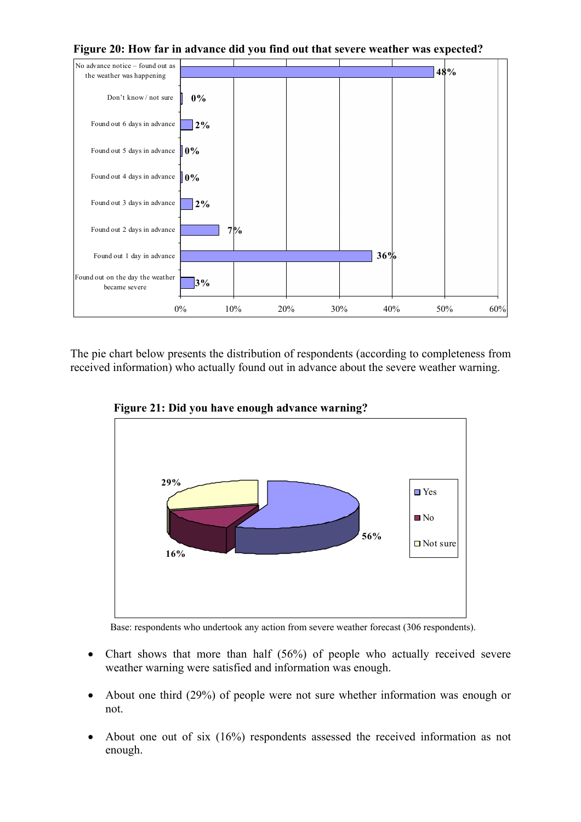

 **Figure 20: How far in advance did you find out that severe weather was expected?**

The pie chart below presents the distribution of respondents (according to completeness from received information) who actually found out in advance about the severe weather warning.



 **Figure 21: Did you have enough advance warning?** 

Base: respondents who undertook any action from severe weather forecast (306 respondents).

- Chart shows that more than half (56%) of people who actually received severe weather warning were satisfied and information was enough.
- About one third (29%) of people were not sure whether information was enough or not.
- About one out of six (16%) respondents assessed the received information as not enough.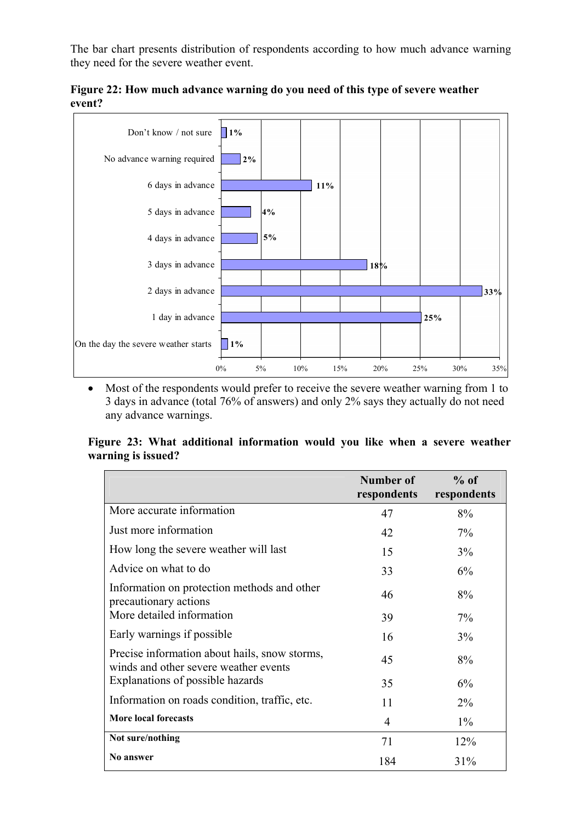The bar chart presents distribution of respondents according to how much advance warning they need for the severe weather event.



**Figure 22: How much advance warning do you need of this type of severe weather event?**

• Most of the respondents would prefer to receive the severe weather warning from 1 to 3 days in advance (total 76% of answers) and only 2% says they actually do not need any advance warnings.

#### **Figure 23: What additional information would you like when a severe weather warning is issued?**

|                                                                                        | Number of<br>respondents | $%$ of<br>respondents |
|----------------------------------------------------------------------------------------|--------------------------|-----------------------|
| More accurate information                                                              | 47                       | 8%                    |
| Just more information                                                                  | 42                       | $7\%$                 |
| How long the severe weather will last                                                  | 15                       | 3%                    |
| Advice on what to do                                                                   | 33                       | 6%                    |
| Information on protection methods and other<br>precautionary actions                   | 46                       | 8%                    |
| More detailed information                                                              | 39                       | $7\%$                 |
| Early warnings if possible                                                             | 16                       | $3\%$                 |
| Precise information about hails, snow storms,<br>winds and other severe weather events | 45                       | 8%                    |
| Explanations of possible hazards                                                       | 35                       | 6%                    |
| Information on roads condition, traffic, etc.                                          | 11                       | $2\%$                 |
| <b>More local forecasts</b>                                                            | $\overline{4}$           | $1\%$                 |
| Not sure/nothing                                                                       | 71                       | 12%                   |
| No answer                                                                              | 184                      | 31%                   |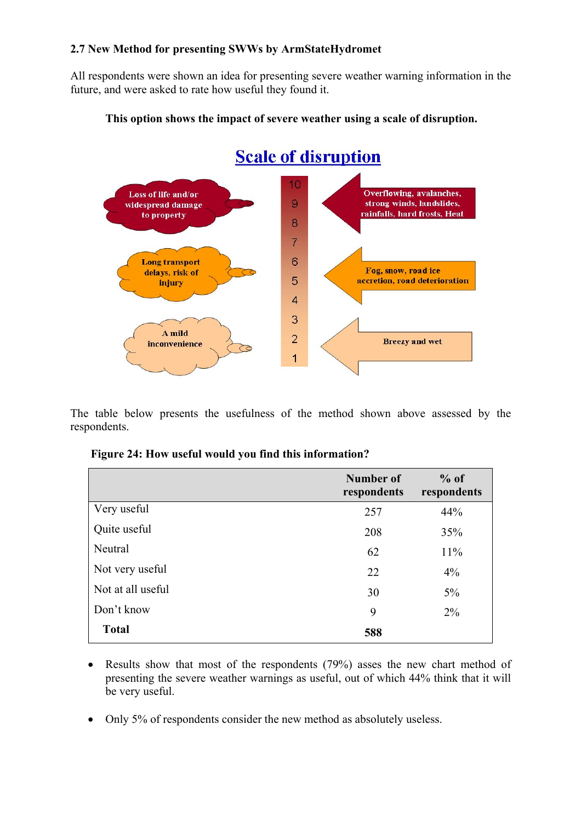#### **2.7 New Method for presenting SWWs by ArmStateHydromet**

All respondents were shown an idea for presenting severe weather warning information in the future, and were asked to rate how useful they found it.



#### **This option shows the impact of severe weather using a scale of disruption.**

The table below presents the usefulness of the method shown above assessed by the respondents.

|  |  | Figure 24: How useful would you find this information? |  |  |  |
|--|--|--------------------------------------------------------|--|--|--|
|  |  |                                                        |  |  |  |

|                   | Number of<br>respondents | $%$ of<br>respondents |
|-------------------|--------------------------|-----------------------|
| Very useful       | 257                      | 44%                   |
| Quite useful      | 208                      | 35%                   |
| Neutral           | 62                       | 11%                   |
| Not very useful   | 22                       | $4\%$                 |
| Not at all useful | 30                       | $5\%$                 |
| Don't know        | 9                        | $2\%$                 |
| <b>Total</b>      | 588                      |                       |

- Results show that most of the respondents (79%) asses the new chart method of presenting the severe weather warnings as useful, out of which 44% think that it will be very useful.
- Only 5% of respondents consider the new method as absolutely useless.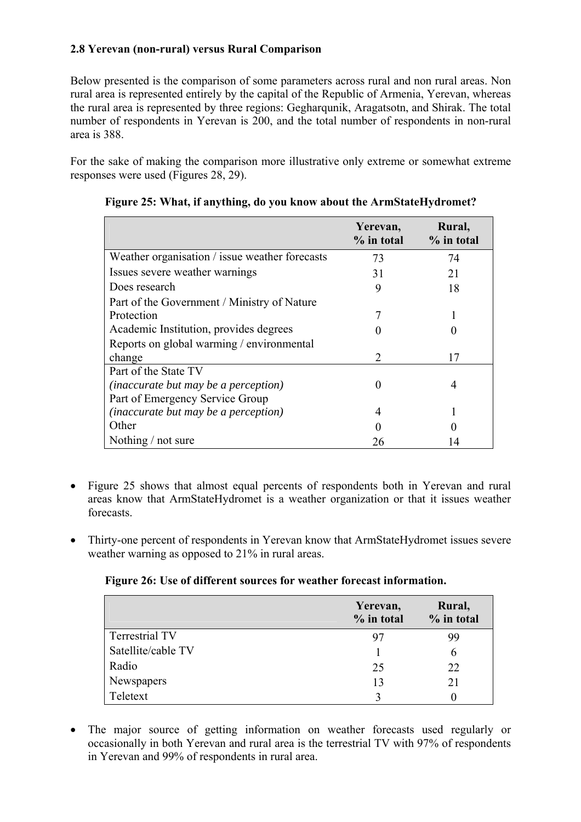## **2.8 Yerevan (non-rural) versus Rural Comparison**

Below presented is the comparison of some parameters across rural and non rural areas. Non rural area is represented entirely by the capital of the Republic of Armenia, Yerevan, whereas the rural area is represented by three regions: Gegharqunik, Aragatsotn, and Shirak. The total number of respondents in Yerevan is 200, and the total number of respondents in non-rural area is 388.

For the sake of making the comparison more illustrative only extreme or somewhat extreme responses were used (Figures 28, 29).

|                                                | Yerevan,<br>$%$ in total | Rural,<br>% in total |
|------------------------------------------------|--------------------------|----------------------|
| Weather organisation / issue weather forecasts | 73                       | 74                   |
| Issues severe weather warnings                 | 31                       | 21                   |
| Does research                                  | 9                        | 18                   |
| Part of the Government / Ministry of Nature    |                          |                      |
| Protection                                     | 7                        |                      |
| Academic Institution, provides degrees         |                          |                      |
| Reports on global warming / environmental      |                          |                      |
| change                                         | $\mathfrak{D}$           | 17                   |
| Part of the State TV                           |                          |                      |
| <i>(inaccurate but may be a perception)</i>    | 0                        | 4                    |
| Part of Emergency Service Group                |                          |                      |
| <i>(inaccurate but may be a perception)</i>    | 4                        |                      |
| Other                                          |                          |                      |
| Nothing / not sure                             | 26                       |                      |

|  |  | Figure 25: What, if anything, do you know about the ArmStateHydromet? |
|--|--|-----------------------------------------------------------------------|
|  |  |                                                                       |
|  |  |                                                                       |

- Figure 25 shows that almost equal percents of respondents both in Yerevan and rural areas know that ArmStateHydromet is a weather organization or that it issues weather forecasts.
- Thirty-one percent of respondents in Yerevan know that ArmStateHydromet issues severe weather warning as opposed to 21% in rural areas.

#### **Figure 26: Use of different sources for weather forecast information.**

|                       | Yerevan,<br>% in total | Rural,<br>% in total |
|-----------------------|------------------------|----------------------|
| <b>Terrestrial TV</b> | 97                     | 99                   |
| Satellite/cable TV    |                        | 6                    |
| Radio                 | 25                     | 22                   |
| Newspapers            | 13                     | 21                   |
| Teletext              |                        |                      |

• The major source of getting information on weather forecasts used regularly or occasionally in both Yerevan and rural area is the terrestrial TV with 97% of respondents in Yerevan and 99% of respondents in rural area.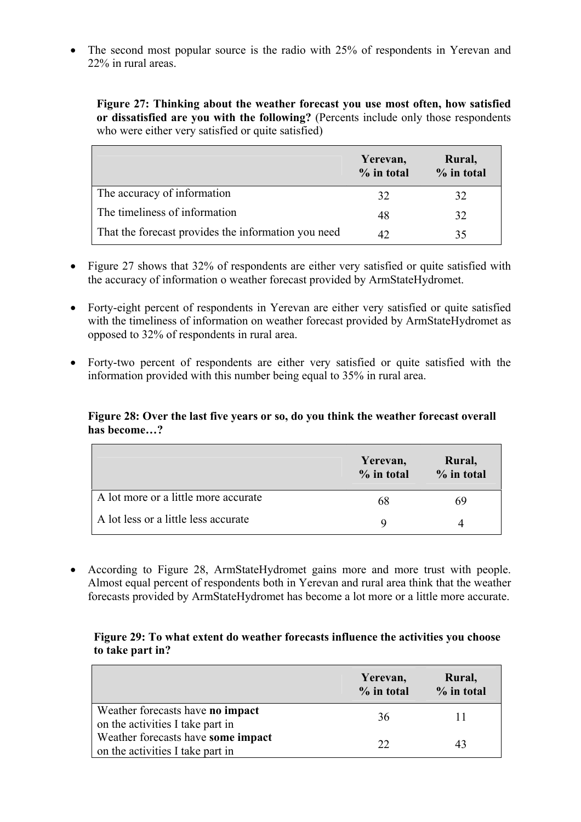• The second most popular source is the radio with 25% of respondents in Yerevan and 22% in rural areas.

**Figure 27: Thinking about the weather forecast you use most often, how satisfied or dissatisfied are you with the following?** (Percents include only those respondents who were either very satisfied or quite satisfied)

|                                                     | Yerevan,<br>$%$ in total | Rural,<br>$%$ in total |
|-----------------------------------------------------|--------------------------|------------------------|
| The accuracy of information                         | 32                       | 32                     |
| The timeliness of information                       | 48                       | 32                     |
| That the forecast provides the information you need |                          | 35                     |

- Figure 27 shows that 32% of respondents are either very satisfied or quite satisfied with the accuracy of information o weather forecast provided by ArmStateHydromet.
- Forty-eight percent of respondents in Yerevan are either very satisfied or quite satisfied with the timeliness of information on weather forecast provided by ArmStateHydromet as opposed to 32% of respondents in rural area.
- Forty-two percent of respondents are either very satisfied or quite satisfied with the information provided with this number being equal to 35% in rural area.

#### **Figure 28: Over the last five years or so, do you think the weather forecast overall has become…?**

|                                      | Yerevan,<br>$%$ in total | Rural,<br>$%$ in total |
|--------------------------------------|--------------------------|------------------------|
| A lot more or a little more accurate | 68                       | 69                     |
| A lot less or a little less accurate |                          |                        |

• According to Figure 28, ArmStateHydromet gains more and more trust with people. Almost equal percent of respondents both in Yerevan and rural area think that the weather forecasts provided by ArmStateHydromet has become a lot more or a little more accurate.

#### **Figure 29: To what extent do weather forecasts influence the activities you choose to take part in?**

|                                                                        | Yerevan,<br>$%$ in total | Rural,<br>% in total |
|------------------------------------------------------------------------|--------------------------|----------------------|
| Weather forecasts have no impact<br>on the activities I take part in   | 36                       |                      |
| Weather forecasts have some impact<br>on the activities I take part in | フフ                       |                      |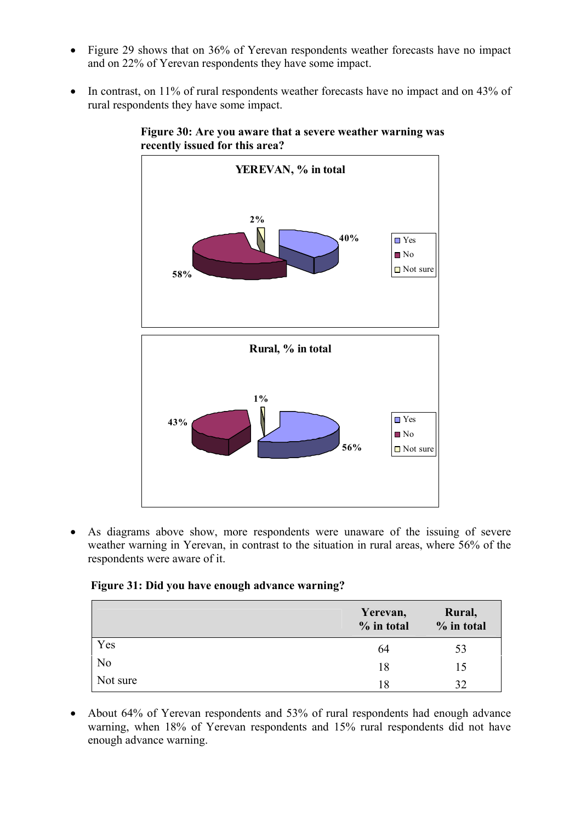- Figure 29 shows that on 36% of Yerevan respondents weather forecasts have no impact and on 22% of Yerevan respondents they have some impact.
- In contrast, on 11% of rural respondents weather forecasts have no impact and on 43% of rural respondents they have some impact.



**Figure 30: Are you aware that a severe weather warning was recently issued for this area?** 

• As diagrams above show, more respondents were unaware of the issuing of severe weather warning in Yerevan, in contrast to the situation in rural areas, where 56% of the respondents were aware of it.

#### **Figure 31: Did you have enough advance warning?**

|                | Yerevan,<br>% in total | Rural,<br>% in total |
|----------------|------------------------|----------------------|
| Yes            | 64                     | 53                   |
| N <sub>o</sub> | 18                     | 15                   |
| Not sure       | 18                     | 32                   |

• About 64% of Yerevan respondents and 53% of rural respondents had enough advance warning, when 18% of Yerevan respondents and 15% rural respondents did not have enough advance warning.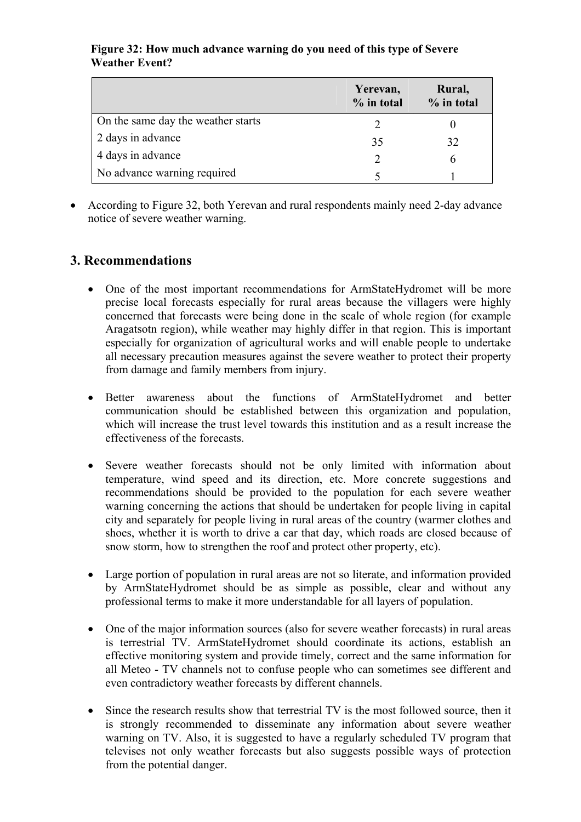#### **Figure 32: How much advance warning do you need of this type of Severe Weather Event?**

|                                    | Yerevan,<br>% in total | Rural,<br>$%$ in total |
|------------------------------------|------------------------|------------------------|
| On the same day the weather starts |                        |                        |
| 2 days in advance                  | 35                     | 32                     |
| 4 days in advance                  |                        |                        |
| No advance warning required        |                        |                        |

• According to Figure 32, both Yerevan and rural respondents mainly need 2-day advance notice of severe weather warning.

## **3. Recommendations**

- One of the most important recommendations for ArmStateHydromet will be more precise local forecasts especially for rural areas because the villagers were highly concerned that forecasts were being done in the scale of whole region (for example Aragatsotn region), while weather may highly differ in that region. This is important especially for organization of agricultural works and will enable people to undertake all necessary precaution measures against the severe weather to protect their property from damage and family members from injury.
- Better awareness about the functions of ArmStateHydromet and better communication should be established between this organization and population, which will increase the trust level towards this institution and as a result increase the effectiveness of the forecasts.
- Severe weather forecasts should not be only limited with information about temperature, wind speed and its direction, etc. More concrete suggestions and recommendations should be provided to the population for each severe weather warning concerning the actions that should be undertaken for people living in capital city and separately for people living in rural areas of the country (warmer clothes and shoes, whether it is worth to drive a car that day, which roads are closed because of snow storm, how to strengthen the roof and protect other property, etc).
- Large portion of population in rural areas are not so literate, and information provided by ArmStateHydromet should be as simple as possible, clear and without any professional terms to make it more understandable for all layers of population.
- One of the major information sources (also for severe weather forecasts) in rural areas is terrestrial TV. ArmStateHydromet should coordinate its actions, establish an effective monitoring system and provide timely, correct and the same information for all Meteo - TV channels not to confuse people who can sometimes see different and even contradictory weather forecasts by different channels.
- Since the research results show that terrestrial TV is the most followed source, then it is strongly recommended to disseminate any information about severe weather warning on TV. Also, it is suggested to have a regularly scheduled TV program that televises not only weather forecasts but also suggests possible ways of protection from the potential danger.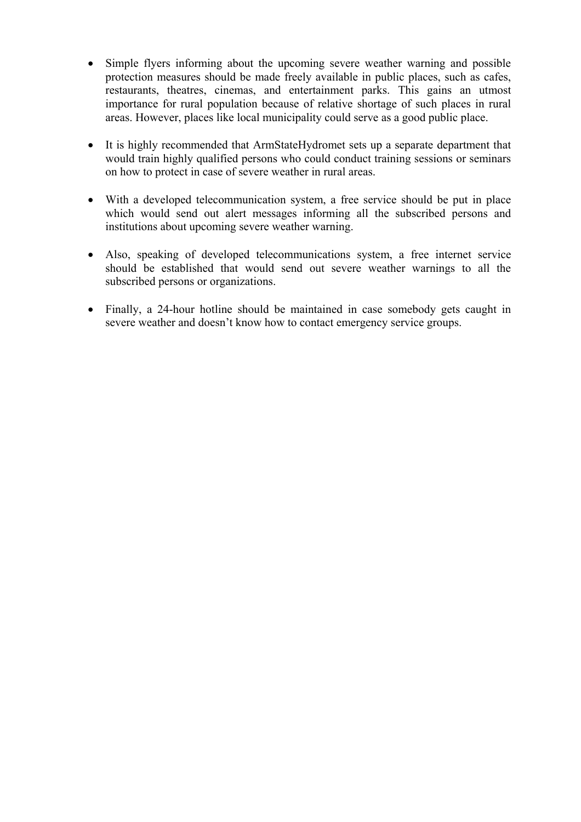- Simple flyers informing about the upcoming severe weather warning and possible protection measures should be made freely available in public places, such as cafes, restaurants, theatres, cinemas, and entertainment parks. This gains an utmost importance for rural population because of relative shortage of such places in rural areas. However, places like local municipality could serve as a good public place.
- It is highly recommended that ArmStateHydromet sets up a separate department that would train highly qualified persons who could conduct training sessions or seminars on how to protect in case of severe weather in rural areas.
- With a developed telecommunication system, a free service should be put in place which would send out alert messages informing all the subscribed persons and institutions about upcoming severe weather warning.
- Also, speaking of developed telecommunications system, a free internet service should be established that would send out severe weather warnings to all the subscribed persons or organizations.
- Finally, a 24-hour hotline should be maintained in case somebody gets caught in severe weather and doesn't know how to contact emergency service groups.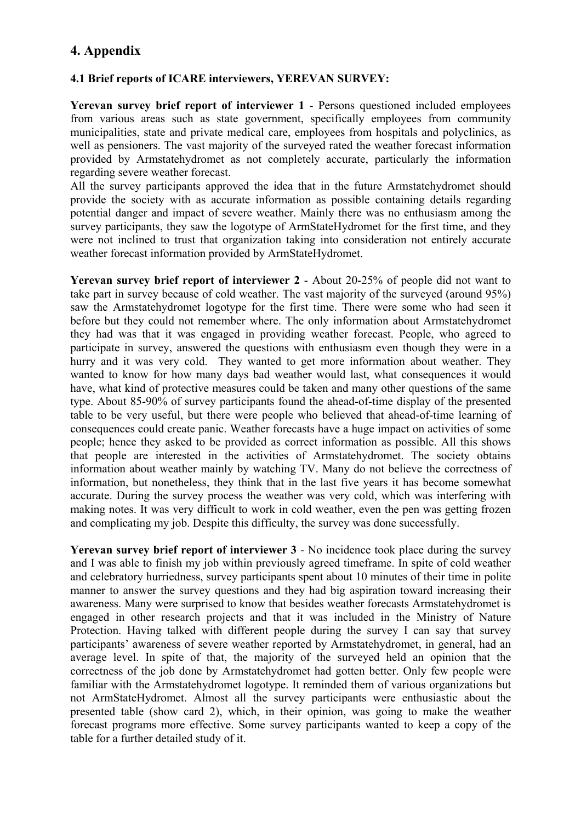## **4. Appendix**

#### **4.1 Brief reports of ICARE interviewers, YEREVAN SURVEY:**

**Yerevan survey brief report of interviewer 1** - Persons questioned included employees from various areas such as state government, specifically employees from community municipalities, state and private medical care, employees from hospitals and polyclinics, as well as pensioners. The vast majority of the surveyed rated the weather forecast information provided by Armstatehydromet as not completely accurate, particularly the information regarding severe weather forecast.

All the survey participants approved the idea that in the future Armstatehydromet should provide the society with as accurate information as possible containing details regarding potential danger and impact of severe weather. Mainly there was no enthusiasm among the survey participants, they saw the logotype of ArmStateHydromet for the first time, and they were not inclined to trust that organization taking into consideration not entirely accurate weather forecast information provided by ArmStateHydromet.

**Yerevan survey brief report of interviewer 2** - About 20-25% of people did not want to take part in survey because of cold weather. The vast majority of the surveyed (around 95%) saw the Armstatehydromet logotype for the first time. There were some who had seen it before but they could not remember where. The only information about Armstatehydromet they had was that it was engaged in providing weather forecast. People, who agreed to participate in survey, answered the questions with enthusiasm even though they were in a hurry and it was very cold. They wanted to get more information about weather. They wanted to know for how many days bad weather would last, what consequences it would have, what kind of protective measures could be taken and many other questions of the same type. About 85-90% of survey participants found the ahead-of-time display of the presented table to be very useful, but there were people who believed that ahead-of-time learning of consequences could create panic. Weather forecasts have a huge impact on activities of some people; hence they asked to be provided as correct information as possible. All this shows that people are interested in the activities of Armstatehydromet. The society obtains information about weather mainly by watching TV. Many do not believe the correctness of information, but nonetheless, they think that in the last five years it has become somewhat accurate. During the survey process the weather was very cold, which was interfering with making notes. It was very difficult to work in cold weather, even the pen was getting frozen and complicating my job. Despite this difficulty, the survey was done successfully.

**Yerevan survey brief report of interviewer 3 - No incidence took place during the survey** and I was able to finish my job within previously agreed timeframe. In spite of cold weather and celebratory hurriedness, survey participants spent about 10 minutes of their time in polite manner to answer the survey questions and they had big aspiration toward increasing their awareness. Many were surprised to know that besides weather forecasts Armstatehydromet is engaged in other research projects and that it was included in the Ministry of Nature Protection. Having talked with different people during the survey I can say that survey participants' awareness of severe weather reported by Armstatehydromet, in general, had an average level. In spite of that, the majority of the surveyed held an opinion that the correctness of the job done by Armstatehydromet had gotten better. Only few people were familiar with the Armstatehydromet logotype. It reminded them of various organizations but not ArmStateHydromet. Almost all the survey participants were enthusiastic about the presented table (show card 2), which, in their opinion, was going to make the weather forecast programs more effective. Some survey participants wanted to keep a copy of the table for a further detailed study of it.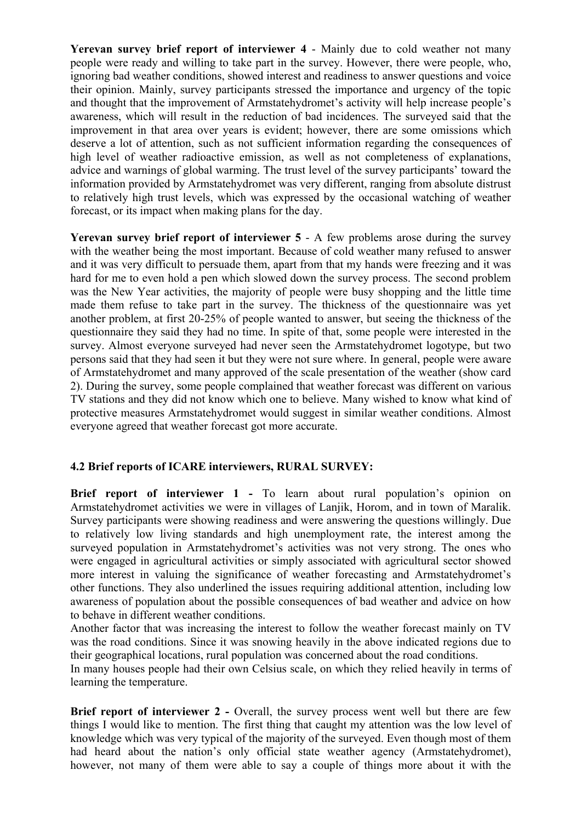**Yerevan survey brief report of interviewer 4** - Mainly due to cold weather not many people were ready and willing to take part in the survey. However, there were people, who, ignoring bad weather conditions, showed interest and readiness to answer questions and voice their opinion. Mainly, survey participants stressed the importance and urgency of the topic and thought that the improvement of Armstatehydromet's activity will help increase people's awareness, which will result in the reduction of bad incidences. The surveyed said that the improvement in that area over years is evident; however, there are some omissions which deserve a lot of attention, such as not sufficient information regarding the consequences of high level of weather radioactive emission, as well as not completeness of explanations, advice and warnings of global warming. The trust level of the survey participants' toward the information provided by Armstatehydromet was very different, ranging from absolute distrust to relatively high trust levels, which was expressed by the occasional watching of weather forecast, or its impact when making plans for the day.

**Yerevan survey brief report of interviewer 5 - A few problems arose during the survey** with the weather being the most important. Because of cold weather many refused to answer and it was very difficult to persuade them, apart from that my hands were freezing and it was hard for me to even hold a pen which slowed down the survey process. The second problem was the New Year activities, the majority of people were busy shopping and the little time made them refuse to take part in the survey. The thickness of the questionnaire was yet another problem, at first 20-25% of people wanted to answer, but seeing the thickness of the questionnaire they said they had no time. In spite of that, some people were interested in the survey. Almost everyone surveyed had never seen the Armstatehydromet logotype, but two persons said that they had seen it but they were not sure where. In general, people were aware of Armstatehydromet and many approved of the scale presentation of the weather (show card 2). During the survey, some people complained that weather forecast was different on various TV stations and they did not know which one to believe. Many wished to know what kind of protective measures Armstatehydromet would suggest in similar weather conditions. Almost everyone agreed that weather forecast got more accurate.

#### **4.2 Brief reports of ICARE interviewers, RURAL SURVEY:**

**Brief report of interviewer 1 -** To learn about rural population's opinion on Armstatehydromet activities we were in villages of Lanjik, Horom, and in town of Maralik. Survey participants were showing readiness and were answering the questions willingly. Due to relatively low living standards and high unemployment rate, the interest among the surveyed population in Armstatehydromet's activities was not very strong. The ones who were engaged in agricultural activities or simply associated with agricultural sector showed more interest in valuing the significance of weather forecasting and Armstatehydromet's other functions. They also underlined the issues requiring additional attention, including low awareness of population about the possible consequences of bad weather and advice on how to behave in different weather conditions.

Another factor that was increasing the interest to follow the weather forecast mainly on TV was the road conditions. Since it was snowing heavily in the above indicated regions due to their geographical locations, rural population was concerned about the road conditions.

In many houses people had their own Celsius scale, on which they relied heavily in terms of learning the temperature.

**Brief report of interviewer 2 -** Overall, the survey process went well but there are few things I would like to mention. The first thing that caught my attention was the low level of knowledge which was very typical of the majority of the surveyed. Even though most of them had heard about the nation's only official state weather agency (Armstatehydromet), however, not many of them were able to say a couple of things more about it with the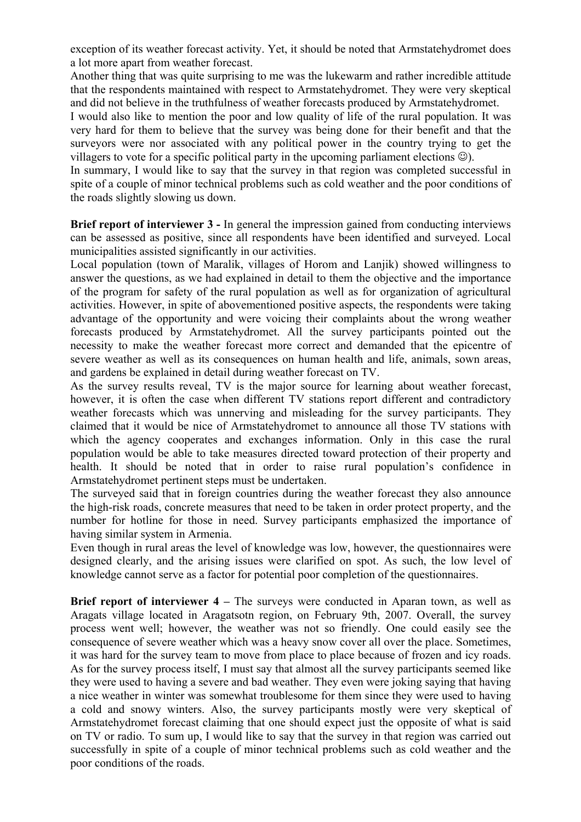exception of its weather forecast activity. Yet, it should be noted that Armstatehydromet does a lot more apart from weather forecast.

Another thing that was quite surprising to me was the lukewarm and rather incredible attitude that the respondents maintained with respect to Armstatehydromet. They were very skeptical and did not believe in the truthfulness of weather forecasts produced by Armstatehydromet.

I would also like to mention the poor and low quality of life of the rural population. It was very hard for them to believe that the survey was being done for their benefit and that the surveyors were nor associated with any political power in the country trying to get the villagers to vote for a specific political party in the upcoming parliament elections  $\circledcirc$ ).

In summary, I would like to say that the survey in that region was completed successful in spite of a couple of minor technical problems such as cold weather and the poor conditions of the roads slightly slowing us down.

**Brief report of interviewer 3 - In general the impression gained from conducting interviews** can be assessed as positive, since all respondents have been identified and surveyed. Local municipalities assisted significantly in our activities.

Local population (town of Maralik, villages of Horom and Lanjik) showed willingness to answer the questions, as we had explained in detail to them the objective and the importance of the program for safety of the rural population as well as for organization of agricultural activities. However, in spite of abovementioned positive aspects, the respondents were taking advantage of the opportunity and were voicing their complaints about the wrong weather forecasts produced by Armstatehydromet. All the survey participants pointed out the necessity to make the weather forecast more correct and demanded that the epicentre of severe weather as well as its consequences on human health and life, animals, sown areas, and gardens be explained in detail during weather forecast on TV.

As the survey results reveal, TV is the major source for learning about weather forecast, however, it is often the case when different TV stations report different and contradictory weather forecasts which was unnerving and misleading for the survey participants. They claimed that it would be nice of Armstatehydromet to announce all those TV stations with which the agency cooperates and exchanges information. Only in this case the rural population would be able to take measures directed toward protection of their property and health. It should be noted that in order to raise rural population's confidence in Armstatehydromet pertinent steps must be undertaken.

The surveyed said that in foreign countries during the weather forecast they also announce the high-risk roads, concrete measures that need to be taken in order protect property, and the number for hotline for those in need. Survey participants emphasized the importance of having similar system in Armenia.

Even though in rural areas the level of knowledge was low, however, the questionnaires were designed clearly, and the arising issues were clarified on spot. As such, the low level of knowledge cannot serve as a factor for potential poor completion of the questionnaires.

**Brief report of interviewer 4 – The surveys were conducted in Aparan town, as well as** Aragats village located in Aragatsotn region, on February 9th, 2007. Overall, the survey process went well; however, the weather was not so friendly. One could easily see the consequence of severe weather which was a heavy snow cover all over the place. Sometimes, it was hard for the survey team to move from place to place because of frozen and icy roads. As for the survey process itself, I must say that almost all the survey participants seemed like they were used to having a severe and bad weather. They even were joking saying that having a nice weather in winter was somewhat troublesome for them since they were used to having a cold and snowy winters. Also, the survey participants mostly were very skeptical of Armstatehydromet forecast claiming that one should expect just the opposite of what is said on TV or radio. To sum up, I would like to say that the survey in that region was carried out successfully in spite of a couple of minor technical problems such as cold weather and the poor conditions of the roads.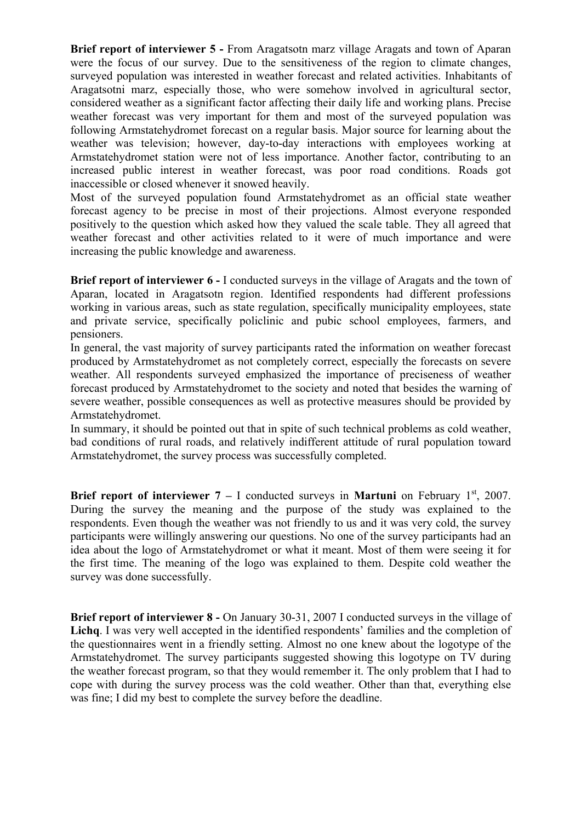**Brief report of interviewer 5 -** From Aragatsotn marz village Aragats and town of Aparan were the focus of our survey. Due to the sensitiveness of the region to climate changes, surveyed population was interested in weather forecast and related activities. Inhabitants of Aragatsotni marz, especially those, who were somehow involved in agricultural sector, considered weather as a significant factor affecting their daily life and working plans. Precise weather forecast was very important for them and most of the surveyed population was following Armstatehydromet forecast on a regular basis. Major source for learning about the weather was television; however, day-to-day interactions with employees working at Armstatehydromet station were not of less importance. Another factor, contributing to an increased public interest in weather forecast, was poor road conditions. Roads got inaccessible or closed whenever it snowed heavily.

Most of the surveyed population found Armstatehydromet as an official state weather forecast agency to be precise in most of their projections. Almost everyone responded positively to the question which asked how they valued the scale table. They all agreed that weather forecast and other activities related to it were of much importance and were increasing the public knowledge and awareness.

**Brief report of interviewer 6 - I conducted surveys in the village of Aragats and the town of** Aparan, located in Aragatsotn region. Identified respondents had different professions working in various areas, such as state regulation, specifically municipality employees, state and private service, specifically policlinic and pubic school employees, farmers, and pensioners.

In general, the vast majority of survey participants rated the information on weather forecast produced by Armstatehydromet as not completely correct, especially the forecasts on severe weather. All respondents surveyed emphasized the importance of preciseness of weather forecast produced by Armstatehydromet to the society and noted that besides the warning of severe weather, possible consequences as well as protective measures should be provided by Armstatehydromet.

In summary, it should be pointed out that in spite of such technical problems as cold weather, bad conditions of rural roads, and relatively indifferent attitude of rural population toward Armstatehydromet, the survey process was successfully completed.

**Brief report of interviewer**  $7 - I$  **conducted surveys in Martuni** on February  $1^{st}$ , 2007. During the survey the meaning and the purpose of the study was explained to the respondents. Even though the weather was not friendly to us and it was very cold, the survey participants were willingly answering our questions. No one of the survey participants had an idea about the logo of Armstatehydromet or what it meant. Most of them were seeing it for the first time. The meaning of the logo was explained to them. Despite cold weather the survey was done successfully.

**Brief report of interviewer 8 -** On January 30-31, 2007 I conducted surveys in the village of **Lichq**. I was very well accepted in the identified respondents' families and the completion of the questionnaires went in a friendly setting. Almost no one knew about the logotype of the Armstatehydromet. The survey participants suggested showing this logotype on TV during the weather forecast program, so that they would remember it. The only problem that I had to cope with during the survey process was the cold weather. Other than that, everything else was fine; I did my best to complete the survey before the deadline.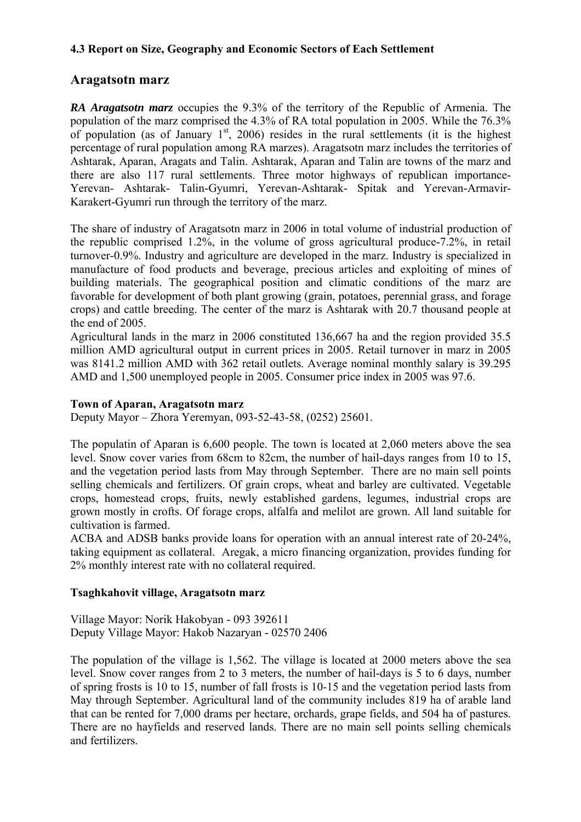#### **4.3 Report on Size, Geography and Economic Sectors of Each Settlement**

## **Aragatsotn marz**

*RA Aragatsotn marz* occupies the 9.3% of the territory of the Republic of Armenia. The population of the marz comprised the 4.3% of RA total population in 2005. While the 76.3% of population (as of January  $1<sup>st</sup>$ , 2006) resides in the rural settlements (it is the highest percentage of rural population among RA marzes). Aragatsotn marz includes the territories of Ashtarak, Aparan, Aragats and Talin. Ashtarak, Aparan and Talin are towns of the marz and there are also 117 rural settlements. Three motor highways of republican importance-Yerevan- Ashtarak- Talin-Gyumri, Yerevan-Ashtarak- Spitak and Yerevan-Armavir-Karakert-Gyumri run through the territory of the marz.

The share of industry of Aragatsotn marz in 2006 in total volume of industrial production of the republic comprised 1.2%, in the volume of gross agricultural produce-7.2%, in retail turnover-0.9%. Industry and agriculture are developed in the marz. Industry is specialized in manufacture of food products and beverage, precious articles and exploiting of mines of building materials. The geographical position and climatic conditions of the marz are favorable for development of both plant growing (grain, potatoes, perennial grass, and forage crops) and cattle breeding. The center of the marz is Ashtarak with 20.7 thousand people at the end of 2005.

Agricultural lands in the marz in 2006 constituted 136,667 ha and the region provided 35.5 million AMD agricultural output in current prices in 2005. Retail turnover in marz in 2005 was 8141.2 million AMD with 362 retail outlets. Average nominal monthly salary is 39.295 AMD and 1,500 unemployed people in 2005. Consumer price index in 2005 was 97.6.

#### **Town of Aparan, Aragatsotn marz**

Deputy Mayor – Zhora Yeremyan, 093-52-43-58, (0252) 25601.

The populatin of Aparan is 6,600 people. The town is located at 2,060 meters above the sea level. Snow cover varies from 68cm to 82cm, the number of hail-days ranges from 10 to 15, and the vegetation period lasts from May through September. There are no main sell points selling chemicals and fertilizers. Of grain crops, wheat and barley are cultivated. Vegetable crops, homestead crops, fruits, newly established gardens, legumes, industrial crops are grown mostly in crofts. Of forage crops, alfalfa and melilot are grown. All land suitable for cultivation is farmed.

ACBA and ADSB banks provide loans for operation with an annual interest rate of 20-24%, taking equipment as collateral. Aregak, a micro financing organization, provides funding for 2% monthly interest rate with no collateral required.

#### **Tsaghkahovit village, Aragatsotn marz**

Village Mayor: Norik Hakobyan - 093 392611 Deputy Village Mayor: Hakob Nazaryan - 02570 2406

The population of the village is 1,562. The village is located at 2000 meters above the sea level. Snow cover ranges from 2 to 3 meters, the number of hail-days is 5 to 6 days, number of spring frosts is 10 to 15, number of fall frosts is 10-15 and the vegetation period lasts from May through September. Agricultural land of the community includes 819 ha of arable land that can be rented for 7,000 drams per hectare, orchards, grape fields, and 504 ha of pastures. There are no hayfields and reserved lands. There are no main sell points selling chemicals and fertilizers.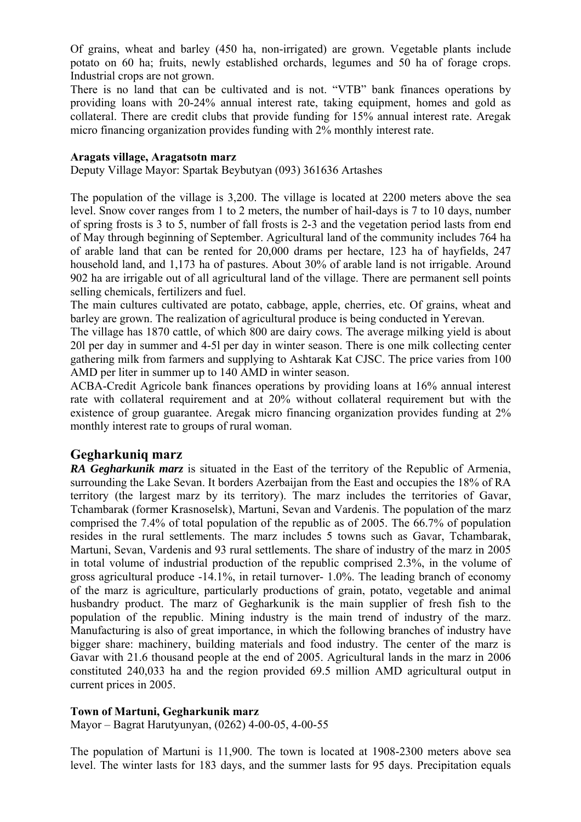Of grains, wheat and barley (450 ha, non-irrigated) are grown. Vegetable plants include potato on 60 ha; fruits, newly established orchards, legumes and 50 ha of forage crops. Industrial crops are not grown.

There is no land that can be cultivated and is not. "VTB" bank finances operations by providing loans with 20-24% annual interest rate, taking equipment, homes and gold as collateral. There are credit clubs that provide funding for 15% annual interest rate. Aregak micro financing organization provides funding with 2% monthly interest rate.

#### **Aragats village, Aragatsotn marz**

Deputy Village Mayor: Spartak Beybutyan (093) 361636 Artashes

The population of the village is 3,200. The village is located at 2200 meters above the sea level. Snow cover ranges from 1 to 2 meters, the number of hail-days is 7 to 10 days, number of spring frosts is 3 to 5, number of fall frosts is 2-3 and the vegetation period lasts from end of May through beginning of September. Agricultural land of the community includes 764 ha of arable land that can be rented for 20,000 drams per hectare, 123 ha of hayfields, 247 household land, and 1,173 ha of pastures. About 30% of arable land is not irrigable. Around 902 ha are irrigable out of all agricultural land of the village. There are permanent sell points selling chemicals, fertilizers and fuel.

The main cultures cultivated are potato, cabbage, apple, cherries, etc. Of grains, wheat and barley are grown. The realization of agricultural produce is being conducted in Yerevan.

The village has 1870 cattle, of which 800 are dairy cows. The average milking yield is about 20l per day in summer and 4-5l per day in winter season. There is one milk collecting center gathering milk from farmers and supplying to Ashtarak Kat CJSC. The price varies from 100 AMD per liter in summer up to 140 AMD in winter season.

ACBA-Credit Agricole bank finances operations by providing loans at 16% annual interest rate with collateral requirement and at 20% without collateral requirement but with the existence of group guarantee. Aregak micro financing organization provides funding at 2% monthly interest rate to groups of rural woman.

#### **Gegharkuniq marz**

*RA Gegharkunik marz* is situated in the East of the territory of the Republic of Armenia, surrounding the Lake Sevan. It borders Azerbaijan from the East and occupies the 18% of RA territory (the largest marz by its territory). The marz includes the territories of Gavar, Tchambarak (former Krasnoselsk), Martuni, Sevan and Vardenis. The population of the marz comprised the 7.4% of total population of the republic as of 2005. The 66.7% of population resides in the rural settlements. The marz includes 5 towns such as Gavar, Tchambarak, Martuni, Sevan, Vardenis and 93 rural settlements. The share of industry of the marz in 2005 in total volume of industrial production of the republic comprised 2.3%, in the volume of gross agricultural produce -14.1%, in retail turnover- 1.0%. The leading branch of economy of the marz is agriculture, particularly productions of grain, potato, vegetable and animal husbandry product. The marz of Gegharkunik is the main supplier of fresh fish to the population of the republic. Mining industry is the main trend of industry of the marz. Manufacturing is also of great importance, in which the following branches of industry have bigger share: machinery, building materials and food industry. The center of the marz is Gavar with 21.6 thousand people at the end of 2005. Agricultural lands in the marz in 2006 constituted 240,033 ha and the region provided 69.5 million AMD agricultural output in current prices in 2005.

#### **Town of Martuni, Gegharkunik marz**

Mayor – Bagrat Harutyunyan, (0262) 4-00-05, 4-00-55

The population of Martuni is 11,900. The town is located at 1908-2300 meters above sea level. The winter lasts for 183 days, and the summer lasts for 95 days. Precipitation equals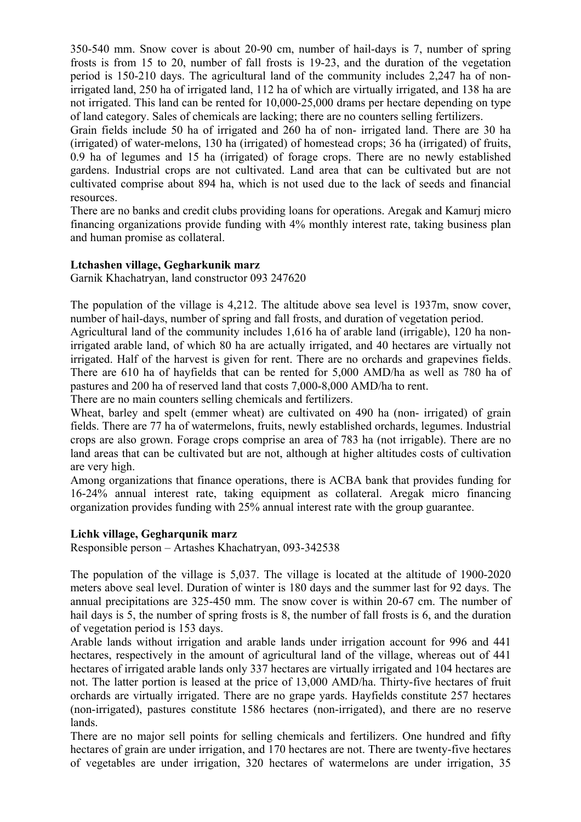350-540 mm. Snow cover is about 20-90 cm, number of hail-days is 7, number of spring frosts is from 15 to 20, number of fall frosts is 19-23, and the duration of the vegetation period is 150-210 days. The agricultural land of the community includes 2,247 ha of nonirrigated land, 250 ha of irrigated land, 112 ha of which are virtually irrigated, and 138 ha are not irrigated. This land can be rented for 10,000-25,000 drams per hectare depending on type of land category. Sales of chemicals are lacking; there are no counters selling fertilizers.

Grain fields include 50 ha of irrigated and 260 ha of non- irrigated land. There are 30 ha (irrigated) of water-melons, 130 ha (irrigated) of homestead crops; 36 ha (irrigated) of fruits, 0.9 ha of legumes and 15 ha (irrigated) of forage crops. There are no newly established gardens. Industrial crops are not cultivated. Land area that can be cultivated but are not cultivated comprise about 894 ha, which is not used due to the lack of seeds and financial resources.

There are no banks and credit clubs providing loans for operations. Aregak and Kamurj micro financing organizations provide funding with 4% monthly interest rate, taking business plan and human promise as collateral.

#### **Ltchashen village, Gegharkunik marz**

Garnik Khachatryan, land constructor 093 247620

The population of the village is 4,212. The altitude above sea level is 1937m, snow cover, number of hail-days, number of spring and fall frosts, and duration of vegetation period.

Agricultural land of the community includes 1,616 ha of arable land (irrigable), 120 ha nonirrigated arable land, of which 80 ha are actually irrigated, and 40 hectares are virtually not irrigated. Half of the harvest is given for rent. There are no orchards and grapevines fields. There are 610 ha of hayfields that can be rented for 5,000 AMD/ha as well as 780 ha of pastures and 200 ha of reserved land that costs 7,000-8,000 AMD/ha to rent.

There are no main counters selling chemicals and fertilizers.

Wheat, barley and spelt (emmer wheat) are cultivated on 490 ha (non- irrigated) of grain fields. There are 77 ha of watermelons, fruits, newly established orchards, legumes. Industrial crops are also grown. Forage crops comprise an area of 783 ha (not irrigable). There are no land areas that can be cultivated but are not, although at higher altitudes costs of cultivation are very high.

Among organizations that finance operations, there is ACBA bank that provides funding for 16-24% annual interest rate, taking equipment as collateral. Aregak micro financing organization provides funding with 25% annual interest rate with the group guarantee.

#### **Lichk village, Gegharqunik marz**

Responsible person – Artashes Khachatryan, 093-342538

The population of the village is 5,037. The village is located at the altitude of 1900-2020 meters above seal level. Duration of winter is 180 days and the summer last for 92 days. The annual precipitations are 325-450 mm. The snow cover is within 20-67 cm. The number of hail days is 5, the number of spring frosts is 8, the number of fall frosts is 6, and the duration of vegetation period is 153 days.

Arable lands without irrigation and arable lands under irrigation account for 996 and 441 hectares, respectively in the amount of agricultural land of the village, whereas out of 441 hectares of irrigated arable lands only 337 hectares are virtually irrigated and 104 hectares are not. The latter portion is leased at the price of 13,000 AMD/ha. Thirty-five hectares of fruit orchards are virtually irrigated. There are no grape yards. Hayfields constitute 257 hectares (non-irrigated), pastures constitute 1586 hectares (non-irrigated), and there are no reserve lands.

There are no major sell points for selling chemicals and fertilizers. One hundred and fifty hectares of grain are under irrigation, and 170 hectares are not. There are twenty-five hectares of vegetables are under irrigation, 320 hectares of watermelons are under irrigation, 35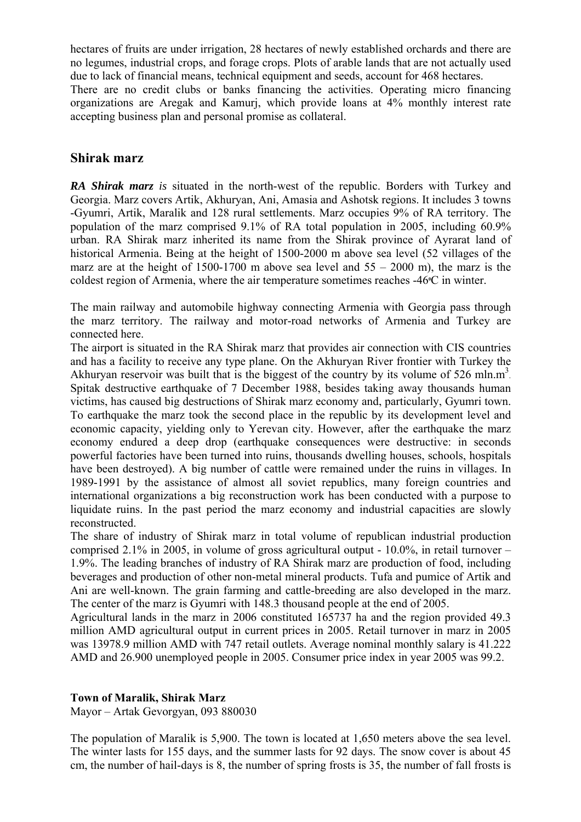hectares of fruits are under irrigation, 28 hectares of newly established orchards and there are no legumes, industrial crops, and forage crops. Plots of arable lands that are not actually used due to lack of financial means, technical equipment and seeds, account for 468 hectares.

There are no credit clubs or banks financing the activities. Operating micro financing organizations are Aregak and Kamurj, which provide loans at 4% monthly interest rate accepting business plan and personal promise as collateral.

#### **Shirak marz**

*RA Shirak marz is* situated in the north-west of the republic. Borders with Turkey and Georgia. Marz covers Artik, Akhuryan, Ani, Amasia and Ashotsk regions. It includes 3 towns -Gyumri, Artik, Maralik and 128 rural settlements. Marz occupies 9% of RA territory. The population of the marz comprised 9.1% of RA total population in 2005, including 60.9% urban. RA Shirak marz inherited its name from the Shirak province of Ayrarat land of historical Armenia. Being at the height of 1500-2000 m above sea level (52 villages of the marz are at the height of 1500-1700 m above sea level and  $55 - 2000$  m), the marz is the coldest region of Armenia, where the air temperature sometimes reaches -46°C in winter.

The main railway and automobile highway connecting Armenia with Georgia pass through the marz territory. The railway and motor-road networks of Armenia and Turkey are connected here.

The airport is situated in the RA Shirak marz that provides air connection with CIS countries and has a facility to receive any type plane. On the Akhuryan River frontier with Turkey the Akhuryan reservoir was built that is the biggest of the country by its volume of 526 mln.m<sup>3</sup>. Spitak destructive earthquake of 7 December 1988, besides taking away thousands human victims, has caused big destructions of Shirak marz economy and, particularly, Gyumri town. To earthquake the marz took the second place in the republic by its development level and economic capacity, yielding only to Yerevan city. However, after the earthquake the marz economy endured a deep drop (earthquake consequences were destructive: in seconds powerful factories have been turned into ruins, thousands dwelling houses, schools, hospitals have been destroyed). A big number of cattle were remained under the ruins in villages. In 1989-1991 by the assistance of almost all soviet republics, many foreign countries and international organizations a big reconstruction work has been conducted with a purpose to liquidate ruins. In the past period the marz economy and industrial capacities are slowly reconstructed.

The share of industry of Shirak marz in total volume of republican industrial production comprised 2.1% in 2005, in volume of gross agricultural output - 10.0%, in retail turnover – 1.9%. The leading branches of industry of RA Shirak marz are production of food, including beverages and production of other non-metal mineral products. Tufa and pumice of Artik and Ani are well-known. The grain farming and cattle-breeding are also developed in the marz. The center of the marz is Gyumri with 148.3 thousand people at the end of 2005.

Agricultural lands in the marz in 2006 constituted 165737 ha and the region provided 49.3 million AMD agricultural output in current prices in 2005. Retail turnover in marz in 2005 was 13978.9 million AMD with 747 retail outlets. Average nominal monthly salary is 41.222 AMD and 26.900 unemployed people in 2005. Consumer price index in year 2005 was 99.2.

#### **Town of Maralik, Shirak Marz**

Mayor – Artak Gevorgyan, 093 880030

The population of Maralik is 5,900. The town is located at 1,650 meters above the sea level. The winter lasts for 155 days, and the summer lasts for 92 days. The snow cover is about 45 cm, the number of hail-days is 8, the number of spring frosts is 35, the number of fall frosts is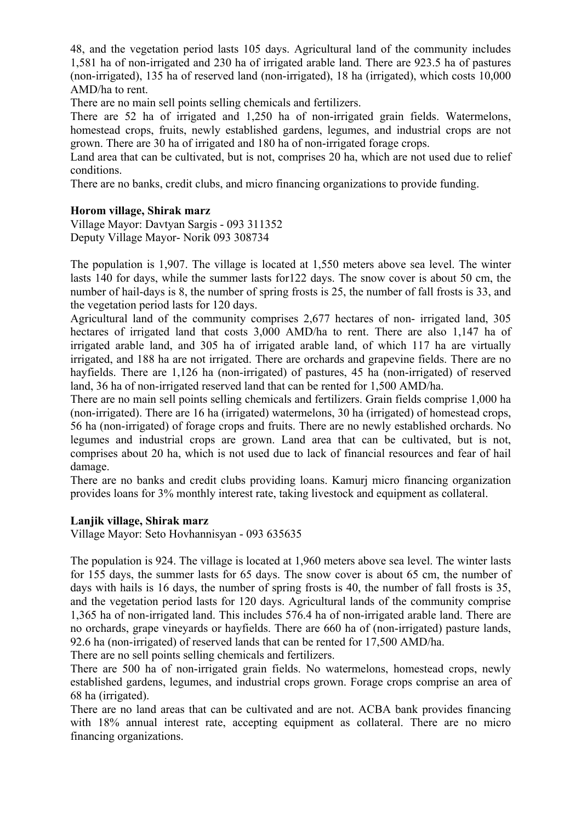48, and the vegetation period lasts 105 days. Agricultural land of the community includes 1,581 ha of non-irrigated and 230 ha of irrigated arable land. There are 923.5 ha of pastures (non-irrigated), 135 ha of reserved land (non-irrigated), 18 ha (irrigated), which costs 10,000 AMD/ha to rent.

There are no main sell points selling chemicals and fertilizers.

There are 52 ha of irrigated and 1,250 ha of non-irrigated grain fields. Watermelons, homestead crops, fruits, newly established gardens, legumes, and industrial crops are not grown. There are 30 ha of irrigated and 180 ha of non-irrigated forage crops.

Land area that can be cultivated, but is not, comprises 20 ha, which are not used due to relief conditions.

There are no banks, credit clubs, and micro financing organizations to provide funding.

#### **Horom village, Shirak marz**

Village Mayor: Davtyan Sargis - 093 311352 Deputy Village Mayor- Norik 093 308734

The population is 1,907. The village is located at 1,550 meters above sea level. The winter lasts 140 for days, while the summer lasts for122 days. The snow cover is about 50 cm, the number of hail-days is 8, the number of spring frosts is 25, the number of fall frosts is 33, and the vegetation period lasts for 120 days.

Agricultural land of the community comprises 2,677 hectares of non- irrigated land, 305 hectares of irrigated land that costs 3,000 AMD/ha to rent. There are also 1,147 ha of irrigated arable land, and 305 ha of irrigated arable land, of which 117 ha are virtually irrigated, and 188 ha are not irrigated. There are orchards and grapevine fields. There are no hayfields. There are 1,126 ha (non-irrigated) of pastures, 45 ha (non-irrigated) of reserved land, 36 ha of non-irrigated reserved land that can be rented for 1,500 AMD/ha.

There are no main sell points selling chemicals and fertilizers. Grain fields comprise 1,000 ha (non-irrigated). There are 16 ha (irrigated) watermelons, 30 ha (irrigated) of homestead crops, 56 ha (non-irrigated) of forage crops and fruits. There are no newly established orchards. No legumes and industrial crops are grown. Land area that can be cultivated, but is not, comprises about 20 ha, which is not used due to lack of financial resources and fear of hail damage.

There are no banks and credit clubs providing loans. Kamurj micro financing organization provides loans for 3% monthly interest rate, taking livestock and equipment as collateral.

#### **Lanjik village, Shirak marz**

Village Mayor: Seto Hovhannisyan - 093 635635

The population is 924. The village is located at 1,960 meters above sea level. The winter lasts for 155 days, the summer lasts for 65 days. The snow cover is about 65 cm, the number of days with hails is 16 days, the number of spring frosts is 40, the number of fall frosts is 35, and the vegetation period lasts for 120 days. Agricultural lands of the community comprise 1,365 ha of non-irrigated land. This includes 576.4 ha of non-irrigated arable land. There are no orchards, grape vineyards or hayfields. There are 660 ha of (non-irrigated) pasture lands, 92.6 ha (non-irrigated) of reserved lands that can be rented for 17,500 AMD/ha.

There are no sell points selling chemicals and fertilizers.

There are 500 ha of non-irrigated grain fields. No watermelons, homestead crops, newly established gardens, legumes, and industrial crops grown. Forage crops comprise an area of 68 ha (irrigated).

There are no land areas that can be cultivated and are not. ACBA bank provides financing with 18% annual interest rate, accepting equipment as collateral. There are no micro financing organizations.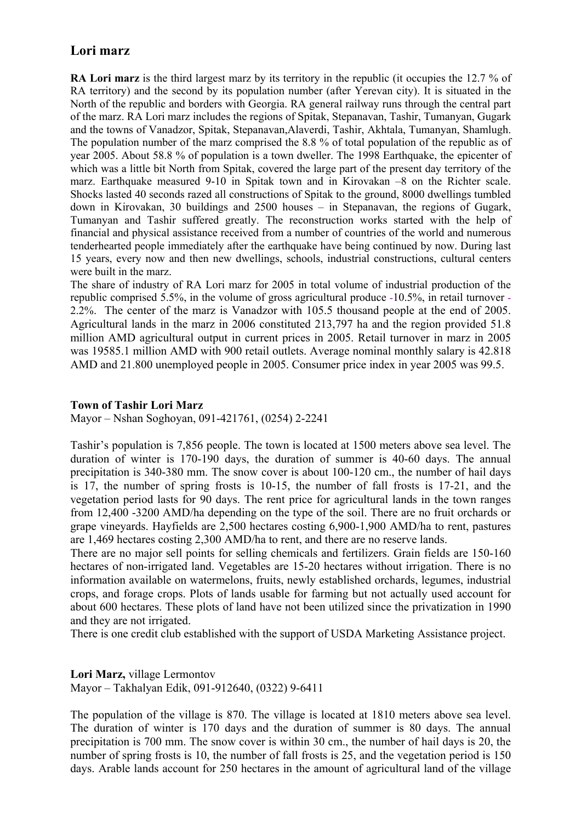## **Lori marz**

**RA Lori marz** is the third largest marz by its territory in the republic (it occupies the 12.7 % of RA territory) and the second by its population number (after Yerevan city). It is situated in the North of the republic and borders with Georgia. RA general railway runs through the central part of the marz. RA Lori marz includes the regions of Spitak, Stepanavan, Tashir, Tumanyan, Gugark and the towns of Vanadzor, Spitak, Stepanavan,Alaverdi, Tashir, Akhtala, Tumanyan, Shamlugh. The population number of the marz comprised the 8.8 % of total population of the republic as of year 2005. About 58.8 % of population is a town dweller. The 1998 Earthquake, the epicenter of which was a little bit North from Spitak, covered the large part of the present day territory of the marz. Earthquake measured 9-10 in Spitak town and in Kirovakan –8 on the Richter scale. Shocks lasted 40 seconds razed all constructions of Spitak to the ground, 8000 dwellings tumbled down in Kirovakan, 30 buildings and 2500 houses – in Stepanavan, the regions of Gugark, Tumanyan and Tashir suffered greatly. The reconstruction works started with the help of financial and physical assistance received from a number of countries of the world and numerous tenderhearted people immediately after the earthquake have being continued by now. During last 15 years, every now and then new dwellings, schools, industrial constructions, cultural centers were built in the marz.

The share of industry of RA Lori marz for 2005 in total volume of industrial production of the republic comprised 5.5%, in the volume of gross agricultural produce -10.5%, in retail turnover - 2.2%. The center of the marz is Vanadzor with 105.5 thousand people at the end of 2005. Agricultural lands in the marz in 2006 constituted 213,797 ha and the region provided 51.8 million AMD agricultural output in current prices in 2005. Retail turnover in marz in 2005 was 19585.1 million AMD with 900 retail outlets. Average nominal monthly salary is 42.818 AMD and 21.800 unemployed people in 2005. Consumer price index in year 2005 was 99.5.

#### **Town of Tashir Lori Marz**

Mayor – Nshan Soghoyan, 091-421761, (0254) 2-2241

Tashir's population is 7,856 people. The town is located at 1500 meters above sea level. The duration of winter is 170-190 days, the duration of summer is 40-60 days. The annual precipitation is 340-380 mm. The snow cover is about 100-120 cm., the number of hail days is 17, the number of spring frosts is 10-15, the number of fall frosts is 17-21, and the vegetation period lasts for 90 days. The rent price for agricultural lands in the town ranges from 12,400 -3200 AMD/ha depending on the type of the soil. There are no fruit orchards or grape vineyards. Hayfields are 2,500 hectares costing 6,900-1,900 AMD/ha to rent, pastures are 1,469 hectares costing 2,300 AMD/ha to rent, and there are no reserve lands.

There are no major sell points for selling chemicals and fertilizers. Grain fields are 150-160 hectares of non-irrigated land. Vegetables are 15-20 hectares without irrigation. There is no information available on watermelons, fruits, newly established orchards, legumes, industrial crops, and forage crops. Plots of lands usable for farming but not actually used account for about 600 hectares. These plots of land have not been utilized since the privatization in 1990 and they are not irrigated.

There is one credit club established with the support of USDA Marketing Assistance project.

**Lori Marz,** village Lermontov Mayor – Takhalyan Edik, 091-912640, (0322) 9-6411

The population of the village is 870. The village is located at 1810 meters above sea level. The duration of winter is 170 days and the duration of summer is 80 days. The annual precipitation is 700 mm. The snow cover is within 30 cm., the number of hail days is 20, the number of spring frosts is 10, the number of fall frosts is 25, and the vegetation period is 150 days. Arable lands account for 250 hectares in the amount of agricultural land of the village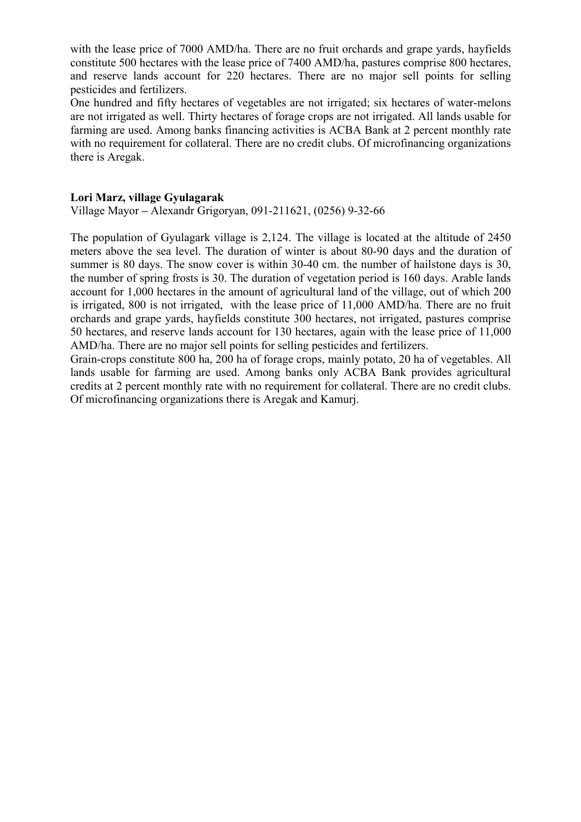with the lease price of 7000 AMD/ha. There are no fruit orchards and grape vards, havfields constitute 500 hectares with the lease price of 7400 AMD/ha, pastures comprise 800 hectares, and reserve lands account for 220 hectares. There are no major sell points for selling pesticides and fertilizers.

One hundred and fifty hectares of vegetables are not irrigated; six hectares of water-melons are not irrigated as well. Thirty hectares of forage crops are not irrigated. All lands usable for farming are used. Among banks financing activities is ACBA Bank at 2 percent monthly rate with no requirement for collateral. There are no credit clubs. Of microfinancing organizations there is Aregak.

#### **Lori Marz, village Gyulagarak**

Village Mayor **–** Alexandr Grigoryan, 091-211621, (0256) 9-32-66

The population of Gyulagark village is 2,124. The village is located at the altitude of 2450 meters above the sea level. The duration of winter is about 80-90 days and the duration of summer is 80 days. The snow cover is within 30-40 cm, the number of hailstone days is 30, the number of spring frosts is 30. The duration of vegetation period is 160 days. Arable lands account for 1,000 hectares in the amount of agricultural land of the village, out of which 200 is irrigated, 800 is not irrigated, with the lease price of 11,000 AMD/ha. There are no fruit orchards and grape yards, hayfields constitute 300 hectares, not irrigated, pastures comprise 50 hectares, and reserve lands account for 130 hectares, again with the lease price of 11,000 AMD/ha. There are no major sell points for selling pesticides and fertilizers.

Grain-crops constitute 800 ha, 200 ha of forage crops, mainly potato, 20 ha of vegetables. All lands usable for farming are used. Among banks only ACBA Bank provides agricultural credits at 2 percent monthly rate with no requirement for collateral. There are no credit clubs. Of microfinancing organizations there is Aregak and Kamurj.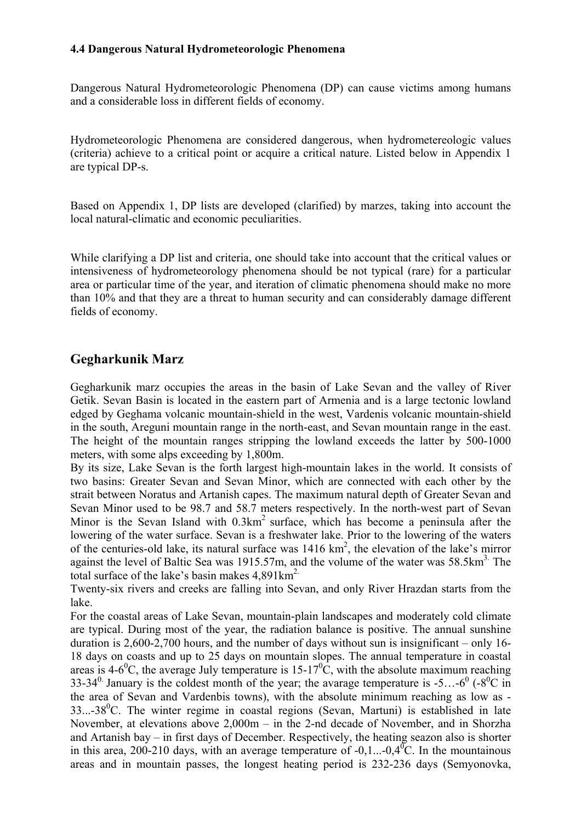#### **4.4 Dangerous Natural Hydrometeorologic Phenomena**

Dangerous Natural Hydrometeorologic Phenomena (DP) can cause victims among humans and a considerable loss in different fields of economy.

Hydrometeorologic Phenomena are considered dangerous, when hydrometereologic values (criteria) achieve to a critical point or acquire a critical nature. Listed below in Appendix 1 are typical DP-s.

Based on Appendix 1, DP lists are developed (clarified) by marzes, taking into account the local natural-climatic and economic peculiarities.

While clarifying a DP list and criteria, one should take into account that the critical values or intensiveness of hydrometeorology phenomena should be not typical (rare) for a particular area or particular time of the year, and iteration of climatic phenomena should make no more than 10% and that they are a threat to human security and can considerably damage different fields of economy.

## **Gegharkunik Marz**

Gegharkunik marz occupies the areas in the basin of Lake Sevan and the valley of River Getik. Sevan Basin is located in the eastern part of Armenia and is а large tectonic lowland edged by Geghama volcanic mountain-shield in the west, Vardenis volcanic mountain-shield in the south, Areguni mountain range in the north-east, and Sevan mountain range in the east. The height of the mountain ranges stripping the lowland exceeds the latter by 500-1000 meters, with some alps exceeding by 1,800m.

By its size, Lake Sevan is the forth largest high-mountain lakes in the world. It consists of two basins: Greater Sevan and Sevan Minor, which are connected with each other by the strait between Noratus and Artanish capes. The maximum natural depth of Greater Sevan and Sevan Minor used to be 98.7 and 58.7 meters respectively. In the north-west part of Sevan Minor is the Sevan Island with  $0.3 \text{km}^2$  surface, which has become a peninsula after the lowering of the water surface. Sevan is a freshwater lake. Prior to the lowering of the waters of the centuries-old lake, its natural surface was  $1416 \text{ km}^2$ , the elevation of the lake's mirror against the level of Baltic Sea was 1915.57m, and the volume of the water was  $58.5 \text{km}^3$ . The total surface of the lake's basin makes  $4.891 \text{km}^2$ .

Twenty-six rivers and creeks are falling into Sevan, and only River Hrazdan starts from the lake.

For the coastal areas of Lake Sevan, mountain-plain landscapes and moderately cold climate are typical. During most of the year, the radiation balance is positive. The annual sunshine duration is 2,600-2,700 hours, and the number of days without sun is insignificant – only 16- 18 days on coasts and up to 25 days on mountain slopes. The annual temperature in coastal areas is 4-6<sup>0</sup>C, the average July temperature is 15-17<sup>0</sup>C, with the absolute maximum reaching 33-34<sup>0</sup> January is the coldest month of the year; the avarage temperature is -5...- $6^{\circ}$  (-8<sup>0</sup>C in the area of Sevan and Vardenbis towns), with the absolute minimum reaching as low as -  $33...38^0$ C. The winter regime in coastal regions (Sevan, Martuni) is established in late November, at elevations above 2,000m – in the 2-nd decade of November, and in Shorzha and Artanish bay – in first days of December. Respectively, the heating seazon also is shorter in this area, 200-210 days, with an average temperature of -0,1...-0,4<sup>0</sup>C. In the mountainous areas and in mountain passes, the longest heating period is 232-236 days (Semyonovka,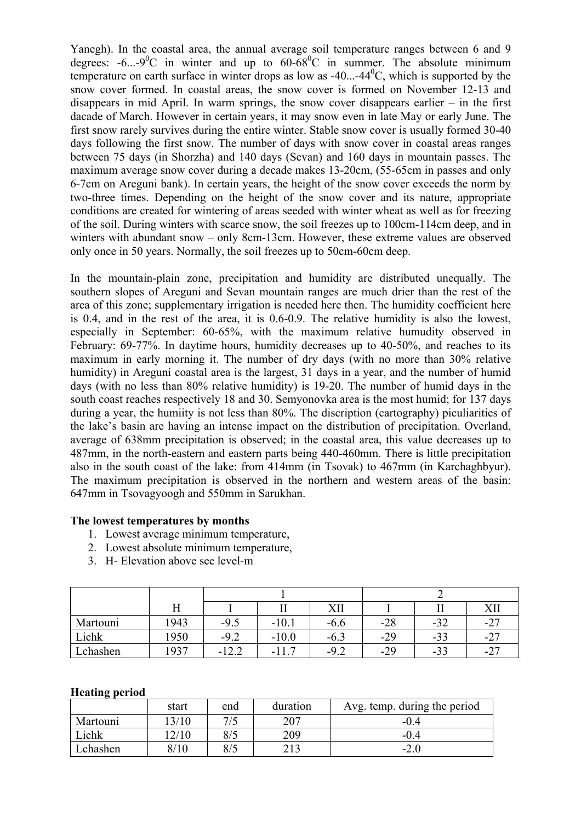Yanegh). In the coastal area, the annual average soil temperature ranges between 6 and 9 degrees:  $-6...-9$ <sup>o</sup>C in winter and up to  $60-68$ <sup>o</sup>C in summer. The absolute minimum temperature on earth surface in winter drops as low as  $-40...-44^{\circ}$ C, which is supported by the snow cover formed. In coastal areas, the snow cover is formed on November 12-13 and disappears in mid April. In warm springs, the snow cover disappears earlier – in the first dacade of March. However in certain years, it may snow even in late May or early June. The first snow rarely survives during the entire winter. Stable snow cover is usually formed 30-40 days following the first snow. The number of days with snow cover in coastal areas ranges between 75 days (in Shorzha) and 140 days (Sevan) and 160 days in mountain passes. The maximum average snow cover during a decade makes 13-20cm, (55-65cm in passes and only 6-7cm on Areguni bank). In certain years, the height of the snow cover exceeds the norm by two-three times. Depending on the height of the snow cover and its nature, appropriate conditions are created for wintering of areas seeded with winter wheat as well as for freezing of the soil. During winters with scarce snow, the soil freezes up to 100cm-114cm deep, and in winters with abundant snow – only 8cm-13cm. However, these extreme values are observed only once in 50 years. Normally, the soil freezes up to 50cm-60cm deep.

In the mountain-plain zone, precipitation and humidity are distributed unequally. The southern slopes of Areguni and Sevan mountain ranges are much drier than the rest of the area of this zone; supplementary irrigation is needed here then. The humidity coefficient here is 0.4, and in the rest of the area, it is 0.6-0.9. The relative humidity is also the lowest, especially in September: 60-65%, with the maximum relative humudity observed in February: 69-77%. In daytime hours, humidity decreases up to 40-50%, and reaches to its maximum in early morning it. The number of dry days (with no more than 30% relative humidity) in Areguni coastal area is the largest, 31 days in a year, and the number of humid days (with no less than 80% relative humidity) is 19-20. The number of humid days in the south coast reaches respectively 18 and 30. Semyonovka area is the most humid; for 137 days during a year, the humiity is not less than 80%. The discription (cartography) piculiarities of the lake's basin are having an intense impact on the distribution of precipitation. Overland, average of 638mm precipitation is observed; in the coastal area, this value decreases up to 487mm, in the north-eastern and eastern parts being 440-460mm. There is little precipitation also in the south coast of the lake: from 414mm (in Tsovak) to 467mm (in Karchaghbyur). The maximum precipitation is observed in the northern and western areas of the basin: 647mm in Tsovagyoogh and 550mm in Sarukhan.

#### **The lowest temperatures by months**

- 1. Lowest average minimum temperature,
- 2. Lowest absolute minimum temperature,
- 3. H- Elevation above see level-m

|          | Η    |         |          | XII    |       |       |          |
|----------|------|---------|----------|--------|-------|-------|----------|
| Martouni | 1943 | $-9.5$  | $-10.1$  | $-6.6$ | $-28$ | ے د−  | $-2^{-}$ |
| Lichk    | 1950 | $-9.2$  | $-10.0$  | $-6.3$ | $-29$ | $-33$ | $-2^{-}$ |
| Lchashen | 1937 | $-12.2$ | -<br>- 1 | $-9.2$ | $-29$ | -99   | $-2^{-}$ |

#### **Heating period**

|          | start | end | duration | Avg. temp. during the period |
|----------|-------|-----|----------|------------------------------|
| Martouni | 3/10  | 7/5 | 207      | $-0.4$                       |
| Lichk    | 2/10  | 8/5 | 209      | $-0.4$                       |
| Lchashen | 8/10  | 8/5 |          | $-2.0$                       |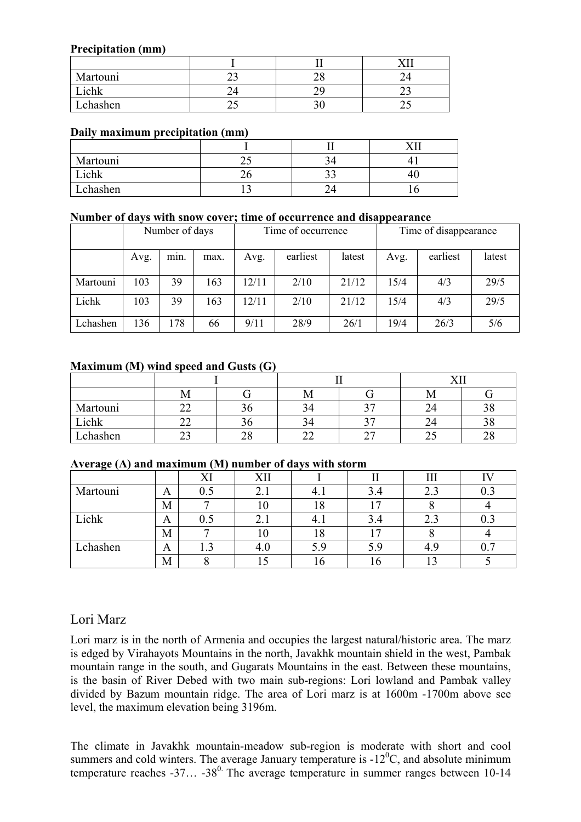#### **Precipitation (mm)**

| Martouni | ر_  | ົ  |     |
|----------|-----|----|-----|
| Lichk    |     |    | ∼   |
| Lchashen | ر ب | J' | ر _ |

#### **Daily maximum precipitation (mm)**

|                  |     |    | r y s |
|------------------|-----|----|-------|
| Martouni         | ر ت |    |       |
| $\mathsf{Lichk}$ | ີບ  | ັ້ |       |
| Lchashen         |     |    |       |

#### **Number of days with snow cover; time of occurrence and disappearance**

|          | Number of days |      |      | Time of occurrence |          |        | Time of disappearance |          |        |
|----------|----------------|------|------|--------------------|----------|--------|-----------------------|----------|--------|
|          | Avg.           | min. | max. | Avg.               | earliest | latest | Avg.                  | earliest | latest |
| Martouni | 103            | 39   | 163  | 12/11              | 2/10     | 21/12  | 15/4                  | 4/3      | 29/5   |
| Lichk    | 103            | 39   | 163  | 12/11              | 2/10     | 21/12  | 15/4                  | 4/3      | 29/5   |
| Lchashen | 136            | 178  | 66   | 9/11               | 28/9     | 26/1   | 19/4                  | 26/3     | 5/6    |

#### **Maximum (M) wind speed and Gusts (G)**

|          |                   |              |    |                               | <b>TTT</b> |                     |  |
|----------|-------------------|--------------|----|-------------------------------|------------|---------------------|--|
|          | IМ                |              | IМ |                               | 1V1        |                     |  |
| Martouni | $\sim$            |              | 34 | n <i>m</i>                    | 24         | າດ<br>эσ            |  |
| Lichk    | $\mathbf{\sim}$   |              | 34 | າ⊓                            | 24         | റ റ<br>эc           |  |
| Lchashen | $\mathbf{\Omega}$ | $\cap$<br>∠∪ | -- | $\mathbin{\lnot}$<br><u>_</u> | ں کے       | $\sim$ $\sim$<br>∠٥ |  |

#### **Average (A) and maximum (M) number of days with storm**

| $\sim$ $\sim$ $\sim$ |   |          |     |         |          |             |         |
|----------------------|---|----------|-----|---------|----------|-------------|---------|
|                      |   | VI<br>Λl | XII |         |          | 111         |         |
| Martouni             | A | $0.5\,$  | 4.1 |         | 3.4      | 2.3         | $0.3\,$ |
|                      | М |          | 1 U | . 0     |          |             |         |
| Lichk                | A | U.J      | 4.1 |         | ◠<br>4.ر | 2.3         | 0.3     |
|                      | М |          | ΙU  | $\circ$ |          |             |         |
| Lchashen             | A |          | 4.U |         |          | $4_{\cdot}$ | ሰ 7     |
|                      | М |          | LJ  | v       |          |             |         |

## Lori Marz

Lori marz is in the north of Armenia and occupies the largest natural/historic area. The marz is edged by Virahayots Mountains in the north, Javakhk mountain shield in the west, Pambak mountain range in the south, and Gugarats Mountains in the east. Between these mountains, is the basin of River Debed with two main sub-regions: Lori lowland and Pambak valley divided by Bazum mountain ridge. The area of Lori marz is at 1600m -1700m above see level, the maximum elevation being 3196m.

The climate in Javakhk mountain-meadow sub-region is moderate with short and cool summers and cold winters. The average January temperature is  $-12<sup>0</sup>C$ , and absolute minimum temperature reaches  $-37... -38$ <sup>0</sup>. The average temperature in summer ranges between 10-14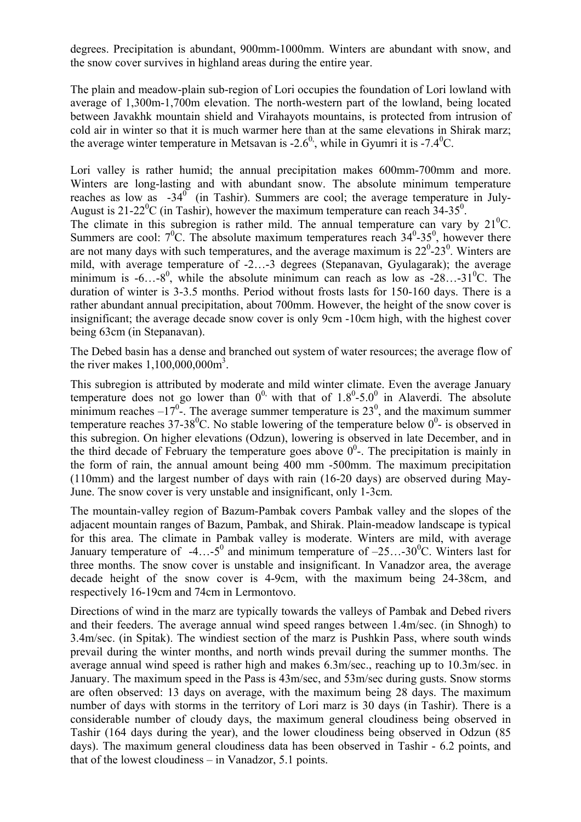degrees. Precipitation is abundant, 900mm-1000mm. Winters are abundant with snow, and the snow cover survives in highland areas during the entire year.

The plain and meadow-plain sub-region of Lori occupies the foundation of Lori lowland with average of 1,300m-1,700m elevation. The north-western part of the lowland, being located between Javakhk mountain shield and Virahayots mountains, is protected from intrusion of cold air in winter so that it is much warmer here than at the same elevations in Shirak marz; the average winter temperature in Metsavan is -2.6<sup>0</sup>, while in Gyumri it is -7.4<sup>0</sup>C.

Lori valley is rather humid; the annual precipitation makes 600mm-700mm and more. Winters are long-lasting and with abundant snow. The absolute minimum temperature reaches as low as  $-34^\circ$  (in Tashir). Summers are cool; the average temperature in July-August is 21-22<sup>0</sup>C (in Tashir), however the maximum temperature can reach  $34-35^0$ . The climate in this subregion is rather mild. The annual temperature can vary by  $21^{\circ}$ C. Summers are cool:  $7^0C$ . The absolute maximum temperatures reach  $34^0$ - $35^0$ , however there are not many days with such temperatures, and the average maximum is  $22^{\circ}$ - $23^{\circ}$ . Winters are mild, with average temperature of -2…-3 degrees (Stepanavan, Gyulagarak); the average minimum is  $-6...-8^0$ , while the absolute minimum can reach as low as  $-28...-31^0C$ . The duration of winter is 3-3.5 months. Period without frosts lasts for 150-160 days. There is a rather abundant annual precipitation, about 700mm. However, the height of the snow cover is insignificant; the average decade snow cover is only 9cm -10cm high, with the highest cover being 63cm (in Stepanavan).

The Debed basin has a dense and branched out system of water resources; the average flow of the river makes  $1,100,000,000$ m<sup>3</sup>.

This subregion is attributed by moderate and mild winter climate. Even the average January temperature does not go lower than  $0^0$ , with that of  $1.8^0$ -5.0<sup>0</sup> in Alaverdi. The absolute minimum reaches  $-17^\circ$ . The average summer temperature is 23<sup>0</sup>, and the maximum summer temperature reaches 37-38<sup>0</sup>C. No stable lowering of the temperature below  $0^0$ - is observed in this subregion. On higher elevations (Odzun), lowering is observed in late December, and in the third decade of February the temperature goes above  $0^0$ -. The precipitation is mainly in the form of rain, the annual amount being 400 mm -500mm. The maximum precipitation (110mm) and the largest number of days with rain (16-20 days) are observed during May-June. The snow cover is very unstable and insignificant, only 1-3cm.

The mountain-valley region of Bazum-Pambak covers Pambak valley and the slopes of the adjacent mountain ranges of Bazum, Pambak, and Shirak. Plain-meadow landscape is typical for this area. The climate in Pambak valley is moderate. Winters are mild, with average January temperature of  $-4...-5^{\circ}$  and minimum temperature of  $-25...-30^{\circ}$ C. Winters last for three months. The snow cover is unstable and insignificant. In Vanadzor area, the average decade height of the snow cover is 4-9cm, with the maximum being 24-38cm, and respectively 16-19cm and 74cm in Lermontovo.

Directions of wind in the marz are typically towards the valleys of Pambak and Debed rivers and their feeders. The average annual wind speed ranges between 1.4m/sec. (in Shnogh) to 3.4m/sec. (in Spitak). The windiest section of the marz is Pushkin Pass, where south winds prevail during the winter months, and north winds prevail during the summer months. The average annual wind speed is rather high and makes 6.3m/sec., reaching up to 10.3m/sec. in January. The maximum speed in the Pass is 43m/sec, and 53m/sec during gusts. Snow storms are often observed: 13 days on average, with the maximum being 28 days. The maximum number of days with storms in the territory of Lori marz is 30 days (in Tashir). There is a considerable number of cloudy days, the maximum general cloudiness being observed in Tashir (164 days during the year), and the lower cloudiness being observed in Odzun (85 days). The maximum general cloudiness data has been observed in Tashir - 6.2 points, and that of the lowest cloudiness – in Vanadzor, 5.1 points.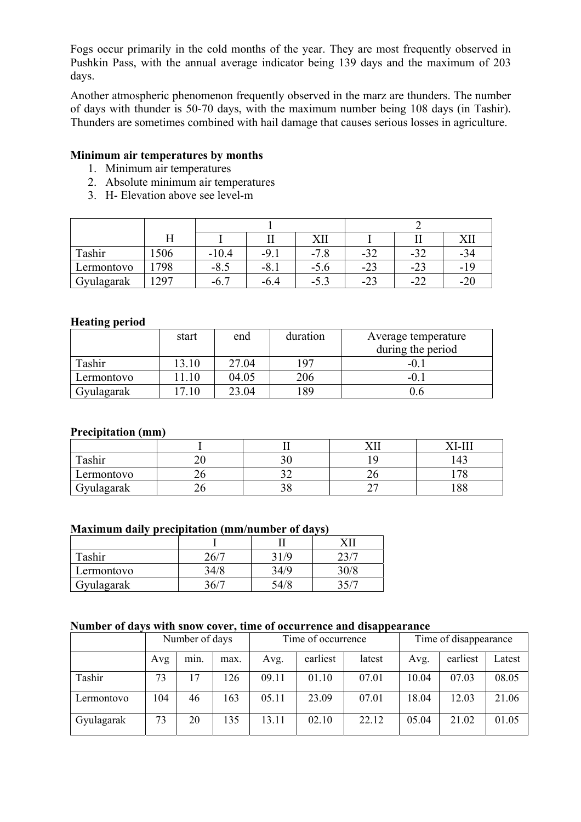Fogs occur primarily in the cold months of the year. They are most frequently observed in Pushkin Pass, with the annual average indicator being 139 days and the maximum of 203 days.

Another atmospheric phenomenon frequently observed in the marz are thunders. The number of days with thunder is 50-70 days, with the maximum number being 108 days (in Tashir). Thunders are sometimes combined with hail damage that causes serious losses in agriculture.

#### **Minimum air temperatures by months**

- 1. Minimum air temperatures
- 2. Absolute minimum air temperatures
- 3. H- Elevation above see level-m

|            |     |         |               | XII                                |       |       |     |
|------------|-----|---------|---------------|------------------------------------|-------|-------|-----|
| Tashir     | 506 | $-10.4$ | $-9.1$        | $\overline{\phantom{a}}$<br>$-7.8$ | $-32$ | ے د−  | -94 |
| Lermontovo | 798 | $-8.5$  | - 0<br>$-0.1$ | $-5.6$                             | $-23$ | $-23$ | -19 |
| Gyulagarak | 297 | $-6.$   | -6.4          | $-5.5$                             | -23   | $-$ / | -∠t |

#### **Heating period**

|            | start | end   | duration | Average temperature<br>during the period |
|------------|-------|-------|----------|------------------------------------------|
| Tashir     | 13.10 | 27.04 | 197      | $-0.$                                    |
| Lermontovo | 1.10  | 04.05 | 206      | $-0.$                                    |
| Gyulagarak | .10   | 23.04 | 89       |                                          |

#### **Precipitation (mm)**

|                 |  |                               | . .             |
|-----------------|--|-------------------------------|-----------------|
| Tashir          |  |                               |                 |
| Lermontovo      |  | ∠∪                            | $\sqrt{2}$<br>О |
| Jyulagarak<br>ີ |  | $\overline{\phantom{a}}$<br>- | ΩO<br>.00       |

#### **Maximum daily precipitation (mm/number of days)**

| Tashir     | .6 <sub>1</sub> |  |
|------------|-----------------|--|
| Lermontovo |                 |  |
| Gyulagarak |                 |  |

#### **Number of days with snow cover, time of occurrence and disappearance**

|            |     | Number of days |      | Time of occurrence |          |        | Time of disappearance |          |        |
|------------|-----|----------------|------|--------------------|----------|--------|-----------------------|----------|--------|
|            | Avg | min.           | max. | Avg.               | earliest | latest | Avg.                  | earliest | Latest |
| Tashir     | 73  | 17             | 126  | 09.11              | 01.10    | 07.01  | 10.04                 | 07.03    | 08.05  |
| Lermontovo | 104 | 46             | 163  | 05.11              | 23.09    | 07.01  | 18.04                 | 12.03    | 21.06  |
| Gyulagarak | 73  | 20             | 135  | 13.11              | 02.10    | 22.12  | 05.04                 | 21.02    | 01.05  |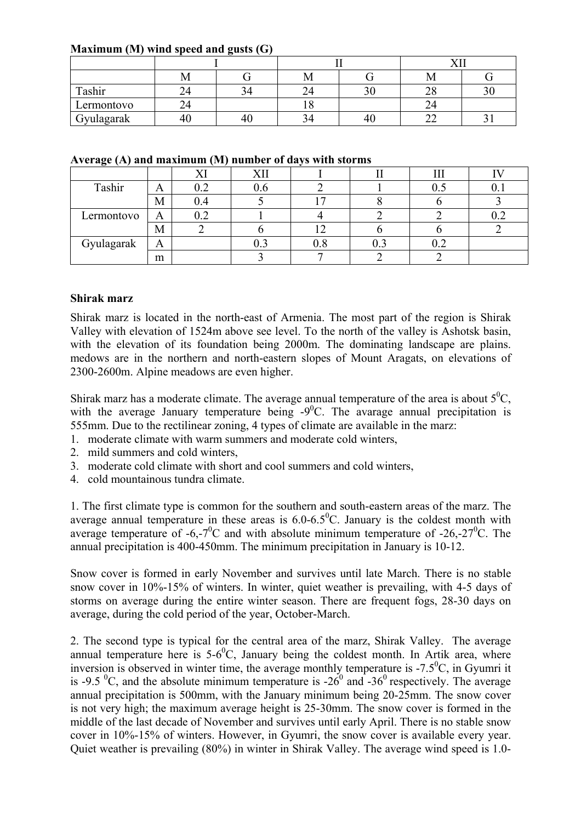| Maximum (M) wind speed and gusts $(G)$ |  |
|----------------------------------------|--|
|----------------------------------------|--|

|            |    |  |      |    | ---      |  |  |
|------------|----|--|------|----|----------|--|--|
|            |    |  | 1V.L |    | M        |  |  |
| Tashir     |    |  |      | υU | ററ<br>∠∟ |  |  |
| Lermontovo |    |  |      |    |          |  |  |
| Gyulagarak | 40 |  |      | 46 | ~~<br>∼  |  |  |

|  |  |  |  |  |  |  | Average (A) and maximum (M) number of days with storms |
|--|--|--|--|--|--|--|--------------------------------------------------------|
|--|--|--|--|--|--|--|--------------------------------------------------------|

|            |   |     | <b>VII</b> |     |  |  |
|------------|---|-----|------------|-----|--|--|
| Tashir     | A |     |            |     |  |  |
|            | M | ).4 |            |     |  |  |
| Lermontovo | A |     |            |     |  |  |
|            | M |     |            |     |  |  |
| Gyulagarak | A |     |            | v.c |  |  |
|            | m |     |            |     |  |  |

#### **Shirak marz**

Shirak marz is located in the north-east of Armenia. The most part of the region is Shirak Valley with elevation of 1524m above see level. To the north of the valley is Ashotsk basin, with the elevation of its foundation being 2000m. The dominating landscape are plains. medows are in the northern and north-eastern slopes of Mount Aragats, on elevations of 2300-2600m. Alpine meadows are even higher.

Shirak marz has a moderate climate. The average annual temperature of the area is about  $5^{0}C$ , with the average January temperature being  $-9^{\circ}$ C. The avarage annual precipitation is 555mm. Due to the rectilinear zoning, 4 types of climate are available in the marz:

- 1. moderate climate with warm summers and moderate cold winters,
- 2. mild summers and cold winters,
- 3. moderate cold climate with short and cool summers and cold winters,
- 4. cold mountainous tundra climate.

1. The first climate type is common for the southern and south-eastern areas of the marz. The average annual temperature in these areas is  $6.0 - 6.5^{\circ}$ C. January is the coldest month with average temperature of -6,-7<sup>0</sup>C and with absolute minimum temperature of -26,-27<sup>0</sup>C. The annual precipitation is 400-450mm. The minimum precipitation in January is 10-12.

Snow cover is formed in early November and survives until late March. There is no stable snow cover in 10%-15% of winters. In winter, quiet weather is prevailing, with 4-5 days of storms on average during the entire winter season. There are frequent fogs, 28-30 days on average, during the cold period of the year, October-March.

2. The second type is typical for the central area of the marz, Shirak Valley. The average annual temperature here is  $5-6^{\circ}$ C, January being the coldest month. In Artik area, where inversion is observed in winter time, the average monthly temperature is  $-7.5\text{°C}$ , in Gyumri it is -9.5 <sup>0</sup>C, and the absolute minimum temperature is -26<sup>0</sup> and -36<sup>0</sup> respectively. The average annual precipitation is 500mm, with the January minimum being 20-25mm. The snow cover is not very high; the maximum average height is 25-30mm. The snow cover is formed in the middle of the last decade of November and survives until early April. There is no stable snow cover in 10%-15% of winters. However, in Gyumri, the snow cover is available every year. Quiet weather is prevailing (80%) in winter in Shirak Valley. The average wind speed is 1.0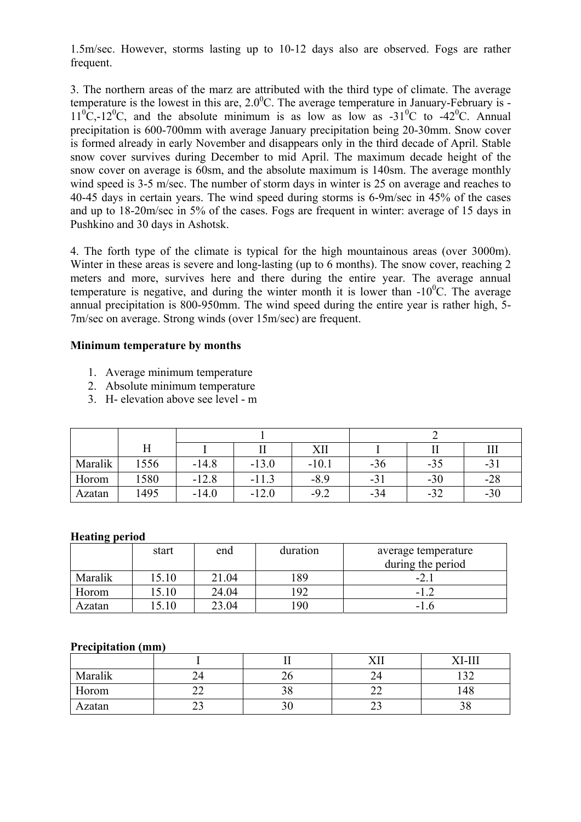1.5m/sec. However, storms lasting up to 10-12 days also are observed. Fogs are rather frequent.

3. The northern areas of the marz are attributed with the third type of climate. The average temperature is the lowest in this are,  $2.0^{\circ}$ C. The average temperature in January-February is - $11^{\circ}$ C,-12<sup>o</sup>C, and the absolute minimum is as low as low as -31<sup>o</sup>C to -42<sup>o</sup>C. Annual precipitation is 600-700mm with average January precipitation being 20-30mm. Snow cover is formed already in early November and disappears only in the third decade of April. Stable snow cover survives during December to mid April. The maximum decade height of the snow cover on average is 60sm, and the absolute maximum is 140sm. The average monthly wind speed is 3-5 m/sec. The number of storm days in winter is 25 on average and reaches to 40-45 days in certain years. The wind speed during storms is 6-9m/sec in 45% of the cases and up to 18-20m/sec in 5% of the cases. Fogs are frequent in winter: average of 15 days in Pushkino and 30 days in Ashotsk.

4. The forth type of the climate is typical for the high mountainous areas (over 3000m). Winter in these areas is severe and long-lasting (up to 6 months). The snow cover, reaching 2 meters and more, survives here and there during the entire year. The average annual temperature is negative, and during the winter month it is lower than  $-10^{0}$ C. The average annual precipitation is 800-950mm. The wind speed during the entire year is rather high, 5- 7m/sec on average. Strong winds (over 15m/sec) are frequent.

#### **Minimum temperature by months**

- 1. Average minimum temperature
- 2. Absolute minimum temperature
- 3. H- elevation above see level m

|         |      |         |         | XІI     |       |       |       |  |
|---------|------|---------|---------|---------|-------|-------|-------|--|
| Maralik | 556  | $-14.8$ | $-13.0$ | $-10.1$ | $-36$ | $-35$ | $-21$ |  |
| Horom   | 580  | $-12.8$ | $-11.3$ | $-8.9$  | $-31$ | $-30$ | $-28$ |  |
| Azatan  | 1495 | $-14.0$ | $-12.0$ | $-9.2$  | $-34$ | $-32$ | $-30$ |  |

#### **Heating period**

|         | start  | end   | duration | average temperature |
|---------|--------|-------|----------|---------------------|
|         |        |       |          | during the period   |
| Maralik | 15.10  | 21.04 | 89       | $-2.$               |
| Horom   | l 5.10 | 24.04 | 92       | $-1.2$              |
| Azatan  | 5.10   | 23.04 | .90      | $-1.6$              |

#### **Precipitation (mm)**

|         |           |    | <u> 1777 </u> | XI-II               |
|---------|-----------|----|---------------|---------------------|
| Maralik |           | ້  | ∠⊣            | $\bigcap$<br>–<br>– |
| Horom   | <u>__</u> | υo | ∸∸            | 148                 |
| Azatan  | ر_        | υU | ر_            | υo                  |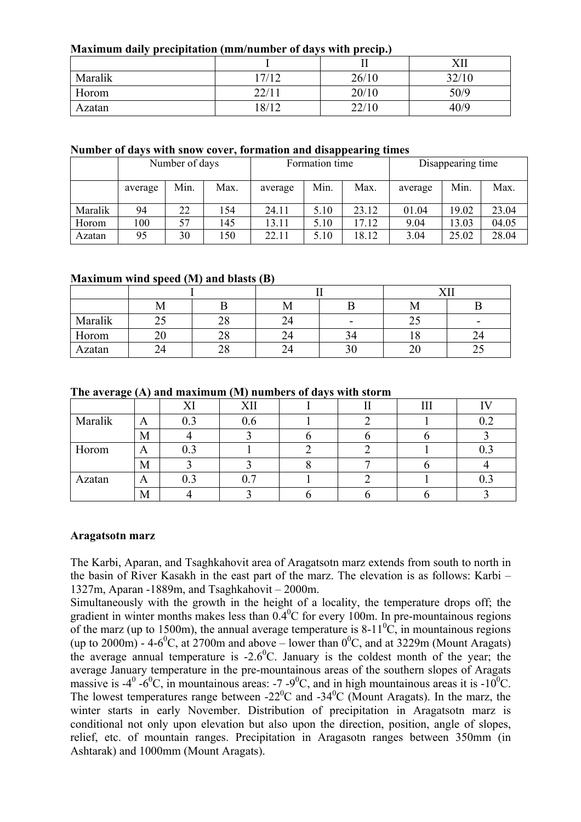#### **Maximum daily precipitation (mm/number of days with precip.)**

|         |       |       | XII   |
|---------|-------|-------|-------|
| Maralik | 17/12 | 26/10 | 32/10 |
| Horom   | 22/11 | 20/10 | 50/9  |
| Azatan  | 18/12 | 22/10 | 40/9  |

#### **Number of days with snow cover, formation and disappearing times**

|         | Number of days |      |      | Formation time |      |       | Disappearing time |       |       |
|---------|----------------|------|------|----------------|------|-------|-------------------|-------|-------|
|         | average        | Min. | Max. | average        | Min. | Max.  | average           | Min.  | Max.  |
| Maralik | 94             | 22   | 54   | 24.11          | 5.10 | 23.12 | 01.04             | 19.02 | 23.04 |
| Horom   | 100            | 57   | 145  | 13.11          | 5.10 | 17.12 | 9.04              | 13.03 | 04.05 |
| Azatan  | 95             | 30   | 50   | 22.11          | 5.10 | 18.12 | 3.04              | 25.02 | 28.04 |

#### **Maximum wind speed (M) and blasts (B)**

|         |     |          | M  |    | IVI.         |    |
|---------|-----|----------|----|----|--------------|----|
| Maralik | ں ک | 28       | 24 |    | ب∠           |    |
| Horom   |     | າດ<br>∠ه |    | 94 |              |    |
| Azatan  |     | 28       |    | 30 | $\sim$<br>ZU | ر_ |

#### **The average (A) and maximum (M) numbers of days with storm**

|         |   | $\mathbf{V}$ | XII |  | TTT |         |
|---------|---|--------------|-----|--|-----|---------|
| Maralik | A | 0.3          | 0.6 |  |     | 0.2     |
|         | M |              |     |  |     |         |
| Horom   | A | $0.3\,$      |     |  |     | ∪.J     |
|         | M |              |     |  |     |         |
| Azatan  | A | 0.3          | 0.7 |  |     | $0.3\,$ |
|         | M |              |     |  |     |         |

#### **Aragatsotn marz**

The Karbi, Aparan, and Tsaghkahovit area of Aragatsotn marz extends from south to north in the basin of River Kasakh in the east part of the marz. The elevation is as follows: Karbi – 1327m, Aparan -1889m, and Tsaghkahovit – 2000m.

Simultaneously with the growth in the height of a locality, the temperature drops off; the gradient in winter months makes less than  $0.4\degree$ C for every 100m. In pre-mountainous regions of the marz (up to 1500m), the annual average temperature is  $8-11^{\circ}C$ , in mountainous regions (up to 2000m) - 4-6<sup>0</sup>C, at 2700m and above – lower than  $0^0$ C, and at 3229m (Mount Aragats) the average annual temperature is  $-2.6$ <sup>0</sup>C. January is the coldest month of the year; the average January temperature in the pre-mountainous areas of the southern slopes of Aragats massive is -4<sup>0</sup> -6<sup>0</sup>C, in mountainous areas: -7 -9<sup>0</sup>C, and in high mountainous areas it is -10<sup>0</sup>C. The lowest temperatures range between  $-22^{\circ}$ C and  $-34^{\circ}$ C (Mount Aragats). In the marz, the winter starts in early November. Distribution of precipitation in Aragatsotn marz is conditional not only upon elevation but also upon the direction, position, angle of slopes, relief, etc. of mountain ranges. Precipitation in Aragasotn ranges between 350mm (in Ashtarak) and 1000mm (Mount Aragats).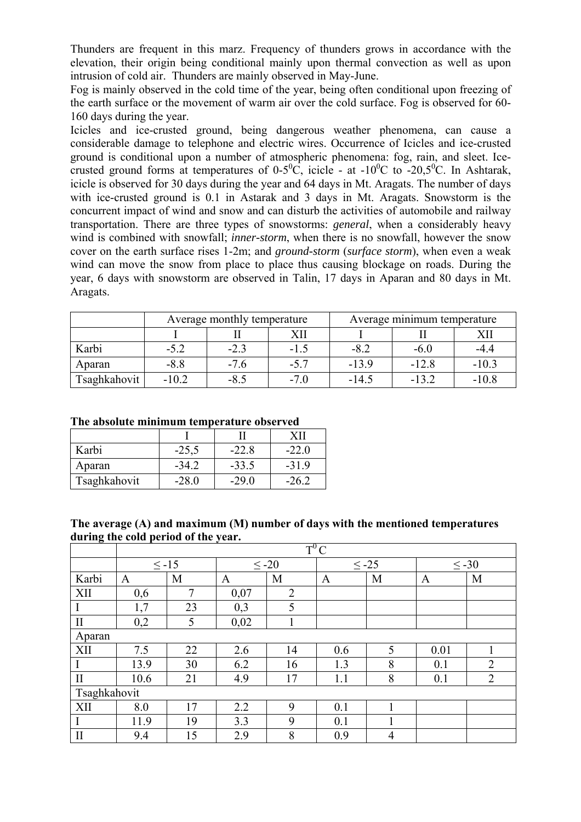Thunders are frequent in this marz. Frequency of thunders grows in accordance with the elevation, their origin being conditional mainly upon thermal convection as well as upon intrusion of cold air. Thunders are mainly observed in May-June.

Fog is mainly observed in the cold time of the year, being often conditional upon freezing of the earth surface or the movement of warm air over the cold surface. Fog is observed for 60- 160 days during the year.

Icicles and ice-crusted ground, being dangerous weather phenomena, can cause a considerable damage to telephone and electric wires. Occurrence of Icicles and ice-crusted ground is conditional upon a number of atmospheric phenomena: fog, rain, and sleet. Icecrusted ground forms at temperatures of  $0-5^0C$ , icicle - at  $-10^0C$  to  $-20,5^0C$ . In Ashtarak, icicle is observed for 30 days during the year and 64 days in Mt. Aragats. The number of days with ice-crusted ground is 0.1 in Astarak and 3 days in Mt. Aragats. Snowstorm is the concurrent impact of wind and snow and can disturb the activities of automobile and railway transportation. There are three types of snowstorms: *general*, when a considerably heavy wind is combined with snowfall; *inner-storm*, when there is no snowfall, however the snow cover on the earth surface rises 1-2m; and *ground-storm* (*surface storm*), when even a weak wind can move the snow from place to place thus causing blockage on roads. During the year, 6 days with snowstorm are observed in Talin, 17 days in Aparan and 80 days in Mt. Aragats.

|              | Average monthly temperature |        |        | Average minimum temperature |        |         |
|--------------|-----------------------------|--------|--------|-----------------------------|--------|---------|
|              |                             | XII    |        |                             |        |         |
| Karbi        | $-5.2$                      | $-2.3$ | $-1.5$ | $-8.2$                      | $-6.0$ | -44     |
| Aparan       | $-8.8$                      | $-7.6$ | $-5.7$ | $-13.9$                     | $-128$ | $-10.3$ |
| Tsaghkahovit | $-10.2$                     | $-8.5$ | $-7.0$ | $-14.5$                     | $-132$ | $-10.8$ |

#### **The absolute minimum temperature observed**

| Karbi        | $-25,5$ | $-22.8$ | $-22.0$ |
|--------------|---------|---------|---------|
| Aparan       | $-34.2$ | $-33.5$ | $-31.9$ |
| Tsaghkahovit |         |         |         |

#### **The average (A) and maximum (M) number of days with the mentioned temperatures during the cold period of the year.**

|              |      | $T^0C$     |      |                |            |                |            |                |  |
|--------------|------|------------|------|----------------|------------|----------------|------------|----------------|--|
|              |      | $\leq$ -15 |      | $\leq$ -20     | $\leq -25$ |                | $\leq$ -30 |                |  |
| Karbi        | A    | M          | A    | M              | A          | M              | A          | M              |  |
| XII          | 0,6  | $\tau$     | 0,07 | $\overline{2}$ |            |                |            |                |  |
| I            | 1,7  | 23         | 0,3  | 5              |            |                |            |                |  |
| $\mathbf{I}$ | 0,2  | 5          | 0,02 |                |            |                |            |                |  |
| Aparan       |      |            |      |                |            |                |            |                |  |
| XII          | 7.5  | 22         | 2.6  | 14             | 0.6        | 5              | 0.01       |                |  |
|              | 13.9 | 30         | 6.2  | 16             | 1.3        | 8              | 0.1        | 2              |  |
| $\mathbf{I}$ | 10.6 | 21         | 4.9  | 17             | 1.1        | 8              | 0.1        | $\overline{2}$ |  |
| Tsaghkahovit |      |            |      |                |            |                |            |                |  |
| XII          | 8.0  | 17         | 2.2  | 9              | 0.1        |                |            |                |  |
| I            | 11.9 | 19         | 3.3  | 9              | 0.1        |                |            |                |  |
| $\prod$      | 9.4  | 15         | 2.9  | 8              | 0.9        | $\overline{4}$ |            |                |  |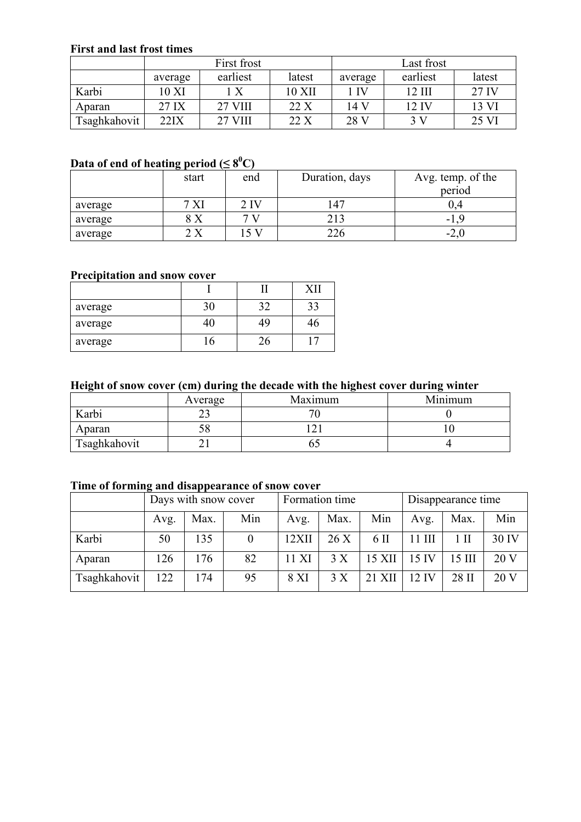#### **First and last frost times**

|              | First frost |                  |        | Last frost |          |        |
|--------------|-------------|------------------|--------|------------|----------|--------|
|              | average     | earliest         | latest | average    | earliest | latest |
| Karbi        | 10 XI       | $\boldsymbol{X}$ | 10 XII | 1 IV       | 12 HI    | 27 IV  |
| Aparan       | 27 IX       | <b>27 VIII</b>   | 22X    | 14 V       | 12 IV    | 13 VI  |
| Tsaghkahovit | 22IX        | <b>27 VIII</b>   | 22 X   | 28 V       | 3V       | 25 VI  |

#### Data of end of heating period ( $\leq 8^0C$ )

|         | .<br>start | end             | Duration, days | Avg. temp. of the |
|---------|------------|-----------------|----------------|-------------------|
|         |            |                 |                | period            |
| average | XI         | 2 <sub>IV</sub> | 147            |                   |
| average | $8~\rm X$  |                 | 213            | – I               |
| average | 2X         | 15V             | 226            | -4.U              |

## **Precipitation and snow cover**

| average |    | 33 |
|---------|----|----|
| average | 49 |    |
| average |    |    |

## **Height of snow cover (cm) during the decade with the highest cover during winter**

|              | Average | Maximum | Minimum |
|--------------|---------|---------|---------|
| Karbi        |         |         |         |
| Aparan       |         |         |         |
| Tsaghkahovit |         |         |         |
|              |         |         |         |

#### **Time of forming and disappearance of snow cover**

|              | Days with snow cover |      | Formation time |       |      | Disappearance time |                 |          |       |
|--------------|----------------------|------|----------------|-------|------|--------------------|-----------------|----------|-------|
|              | Avg.                 | Max. | Min            | Avg.  | Max. | Min                | Avg.            | Max.     | Min   |
| Karbi        | 50                   | 135  |                | 12XII | 26X  | 6 II               | $11$ III        | 1 H      | 30 IV |
| Aparan       | 126                  | 176  | 82             | 11 XI | 3X   | 15 XII             | 15 IV           | $15$ III | 20V   |
| Tsaghkahovit | 122                  | 174  | 95             | 8 XI  | 3 X  | 21 XII             | $12\mathrm{IV}$ | 28 II    | 20 V  |